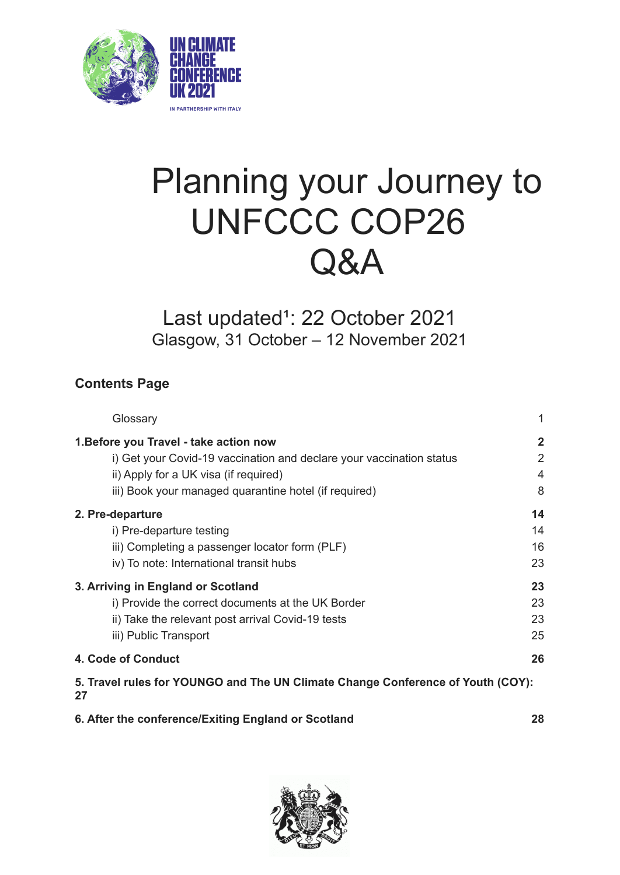

# Planning your Journey to UNFCCC COP26 Q&A

# Last updated<sup>1</sup>: 22 October 2021 Glasgow, 31 October – 12 November 2021

# **Contents Page**

| Glossary                                                                              |                |
|---------------------------------------------------------------------------------------|----------------|
| 1. Before you Travel - take action now                                                | $\mathbf{2}$   |
| i) Get your Covid-19 vaccination and declare your vaccination status                  | $\overline{2}$ |
| ii) Apply for a UK visa (if required)                                                 | $\overline{4}$ |
| iii) Book your managed quarantine hotel (if required)                                 | 8              |
| 2. Pre-departure                                                                      | 14             |
| i) Pre-departure testing                                                              | 14             |
| iii) Completing a passenger locator form (PLF)                                        | 16             |
| iv) To note: International transit hubs                                               | 23             |
| 3. Arriving in England or Scotland                                                    | 23             |
| i) Provide the correct documents at the UK Border                                     | 23             |
| ii) Take the relevant post arrival Covid-19 tests                                     | 23             |
| iii) Public Transport                                                                 | 25             |
| 4. Code of Conduct                                                                    | 26             |
| 5. Travel rules for YOUNGO and The UN Climate Change Conference of Youth (COY):<br>27 |                |

#### **6. After the [conference/Exiting](#page-28-0) England or Scotland [28](#page-28-0)**

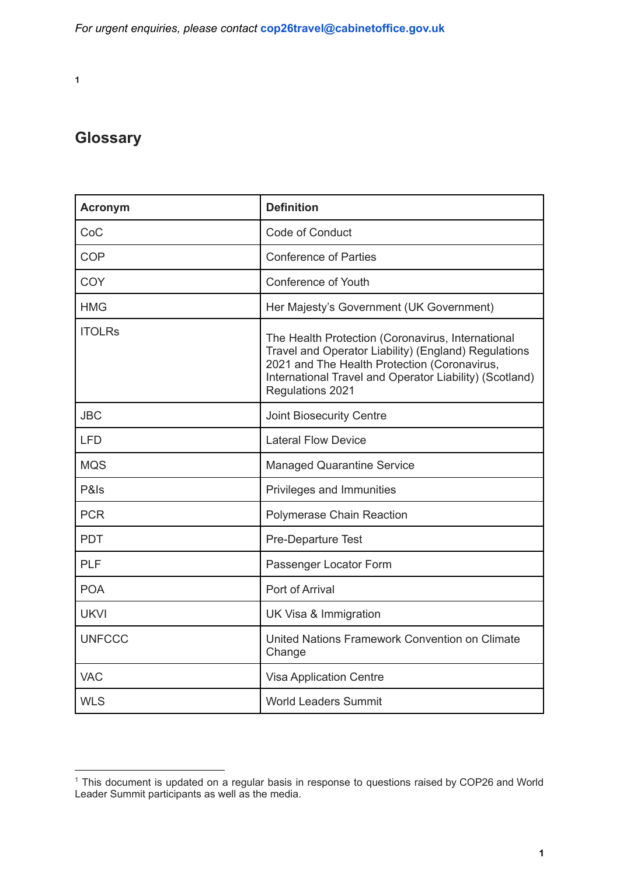**1**

# <span id="page-1-0"></span>**Glossary**

| <b>Acronym</b> | <b>Definition</b>                                                                                                                                                                                                                        |
|----------------|------------------------------------------------------------------------------------------------------------------------------------------------------------------------------------------------------------------------------------------|
| CoC            | Code of Conduct                                                                                                                                                                                                                          |
| <b>COP</b>     | <b>Conference of Parties</b>                                                                                                                                                                                                             |
| COY            | Conference of Youth                                                                                                                                                                                                                      |
| <b>HMG</b>     | Her Majesty's Government (UK Government)                                                                                                                                                                                                 |
| <b>ITOLRs</b>  | The Health Protection (Coronavirus, International<br>Travel and Operator Liability) (England) Regulations<br>2021 and The Health Protection (Coronavirus,<br>International Travel and Operator Liability) (Scotland)<br>Regulations 2021 |
| <b>JBC</b>     | <b>Joint Biosecurity Centre</b>                                                                                                                                                                                                          |
| <b>LFD</b>     | <b>Lateral Flow Device</b>                                                                                                                                                                                                               |
| <b>MQS</b>     | <b>Managed Quarantine Service</b>                                                                                                                                                                                                        |
| P&Is           | Privileges and Immunities                                                                                                                                                                                                                |
| <b>PCR</b>     | Polymerase Chain Reaction                                                                                                                                                                                                                |
| <b>PDT</b>     | Pre-Departure Test                                                                                                                                                                                                                       |
| PLF            | Passenger Locator Form                                                                                                                                                                                                                   |
| <b>POA</b>     | Port of Arrival                                                                                                                                                                                                                          |
| <b>UKVI</b>    | UK Visa & Immigration                                                                                                                                                                                                                    |
| <b>UNFCCC</b>  | United Nations Framework Convention on Climate<br>Change                                                                                                                                                                                 |
| <b>VAC</b>     | <b>Visa Application Centre</b>                                                                                                                                                                                                           |
| <b>WLS</b>     | <b>World Leaders Summit</b>                                                                                                                                                                                                              |

<sup>1</sup> This document is updated on a regular basis in response to questions raised by COP26 and World Leader Summit participants as well as the media.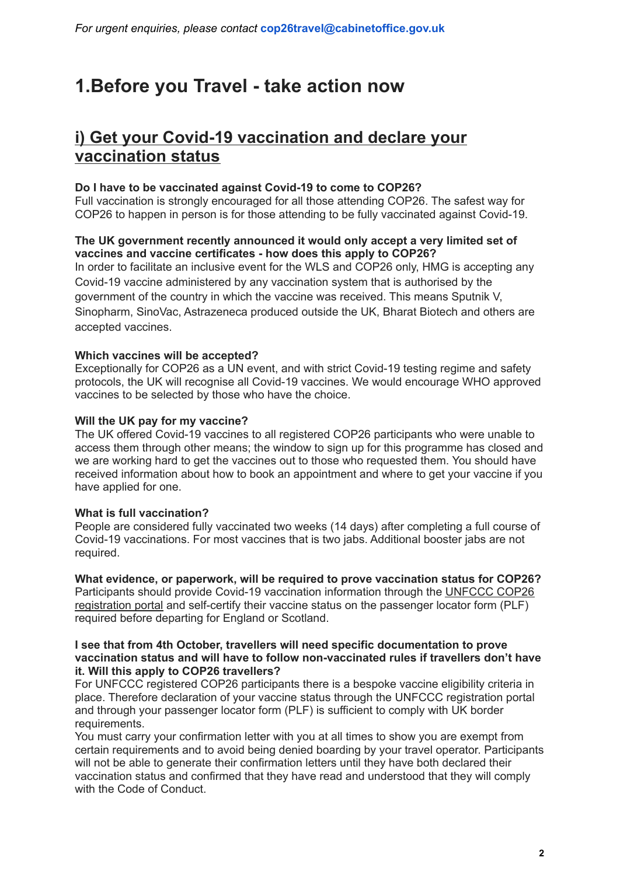# <span id="page-2-0"></span>**1.Before you Travel - take action now**

# <span id="page-2-1"></span>**i) Get your Covid-19 vaccination and declare your vaccination status**

#### **Do I have to be vaccinated against Covid-19 to come to COP26?**

Full vaccination is strongly encouraged for all those attending COP26. The safest way for COP26 to happen in person is for those attending to be fully vaccinated against Covid-19.

#### **The UK government recently announced it would only accept a very limited set of vaccines and vaccine certificates - how does this apply to COP26?**

In order to facilitate an inclusive event for the WLS and COP26 only, HMG is accepting any Covid-19 vaccine administered by any vaccination system that is authorised by the government of the country in which the vaccine was received. This means Sputnik V, Sinopharm, SinoVac, Astrazeneca produced outside the UK, Bharat Biotech and others are accepted vaccines.

#### **Which vaccines will be accepted?**

Exceptionally for COP26 as a UN event, and with strict Covid-19 testing regime and safety protocols, the UK will recognise all Covid-19 vaccines. We would encourage WHO approved vaccines to be selected by those who have the choice.

#### **Will the UK pay for my vaccine?**

The UK offered Covid-19 vaccines to all registered COP26 participants who were unable to access them through other means; the window to sign up for this programme has closed and we are working hard to get the vaccines out to those who requested them. You should have received information about how to book an appointment and where to get your vaccine if you have applied for one.

#### **What is full vaccination?**

People are considered fully vaccinated two weeks (14 days) after completing a full course of Covid-19 vaccinations. For most vaccines that is two jabs. Additional booster jabs are not required.

**What evidence, or paperwork, will be required to prove vaccination status for COP26?** Participants should provide Covid-19 vaccination information through the [UNFCCC](https://onlinereg.unfccc.int/) COP26 [registration](https://onlinereg.unfccc.int/) portal and self-certify their vaccine status on the passenger locator form (PLF) required before departing for England or Scotland.

#### **I see that from 4th October, travellers will need specific documentation to prove vaccination status and will have to follow non-vaccinated rules if travellers don't have it. Will this apply to COP26 travellers?**

For UNFCCC registered COP26 participants there is a bespoke vaccine eligibility criteria in place. Therefore declaration of your vaccine status through the UNFCCC registration portal and through your passenger locator form (PLF) is sufficient to comply with UK border requirements.

You must carry your confirmation letter with you at all times to show you are exempt from certain requirements and to avoid being denied boarding by your travel operator. Participants will not be able to generate their confirmation letters until they have both declared their vaccination status and confirmed that they have read and understood that they will comply with the Code of Conduct.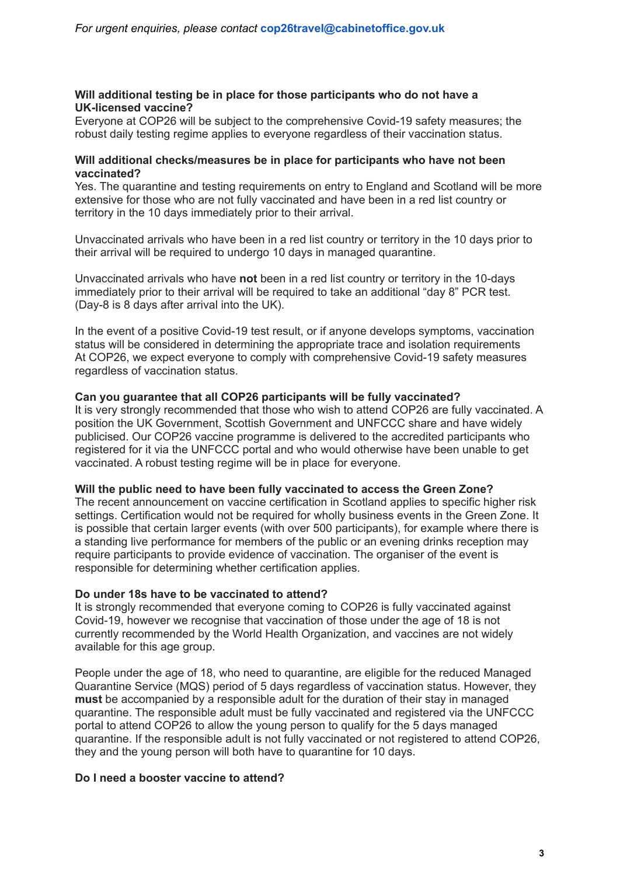#### **Will additional testing be in place for those participants who do not have a UK-licensed vaccine?**

Everyone at COP26 will be subject to the comprehensive Covid-19 safety measures; the robust daily testing regime applies to everyone regardless of their vaccination status.

#### **Will additional checks/measures be in place for participants who have not been vaccinated?**

Yes. The quarantine and testing requirements on entry to England and Scotland will be more extensive for those who are not fully vaccinated and have been in a red list country or territory in the 10 days immediately prior to their arrival.

Unvaccinated arrivals who have been in a red list country or territory in the 10 days prior to their arrival will be required to undergo 10 days in managed quarantine.

Unvaccinated arrivals who have **not** been in a red list country or territory in the 10-days immediately prior to their arrival will be required to take an additional "day 8" PCR test. (Day-8 is 8 days after arrival into the UK).

In the event of a positive Covid-19 test result, or if anyone develops symptoms, vaccination status will be considered in determining the appropriate trace and isolation requirements At COP26, we expect everyone to comply with comprehensive Covid-19 safety measures regardless of vaccination status.

#### **Can you guarantee that all COP26 participants will be fully vaccinated?**

It is very strongly recommended that those who wish to attend COP26 are fully vaccinated. A position the UK Government, Scottish Government and UNFCCC share and have widely publicised. Our COP26 vaccine programme is delivered to the accredited participants who registered for it via the UNFCCC portal and who would otherwise have been unable to get vaccinated. A robust testing regime will be in place for everyone.

#### **Will the public need to have been fully vaccinated to access the Green Zone?**

The recent announcement on vaccine certification in Scotland applies to specific higher risk settings. Certification would not be required for wholly business events in the Green Zone. It is possible that certain larger events (with over 500 participants), for example where there is a standing live performance for members of the public or an evening drinks reception may require participants to provide evidence of vaccination. The organiser of the event is responsible for determining whether certification applies.

#### **Do under 18s have to be vaccinated to attend?**

It is strongly recommended that everyone coming to COP26 is fully vaccinated against Covid-19, however we recognise that vaccination of those under the age of 18 is not currently recommended by the World Health Organization, and vaccines are not widely available for this age group.

People under the age of 18, who need to quarantine, are eligible for the reduced Managed Quarantine Service (MQS) period of 5 days regardless of vaccination status. However, they **must** be accompanied by a responsible adult for the duration of their stay in managed quarantine. The responsible adult must be fully vaccinated and registered via the UNFCCC portal to attend COP26 to allow the young person to qualify for the 5 days managed quarantine. If the responsible adult is not fully vaccinated or not registered to attend COP26, they and the young person will both have to quarantine for 10 days.

#### **Do I need a booster vaccine to attend?**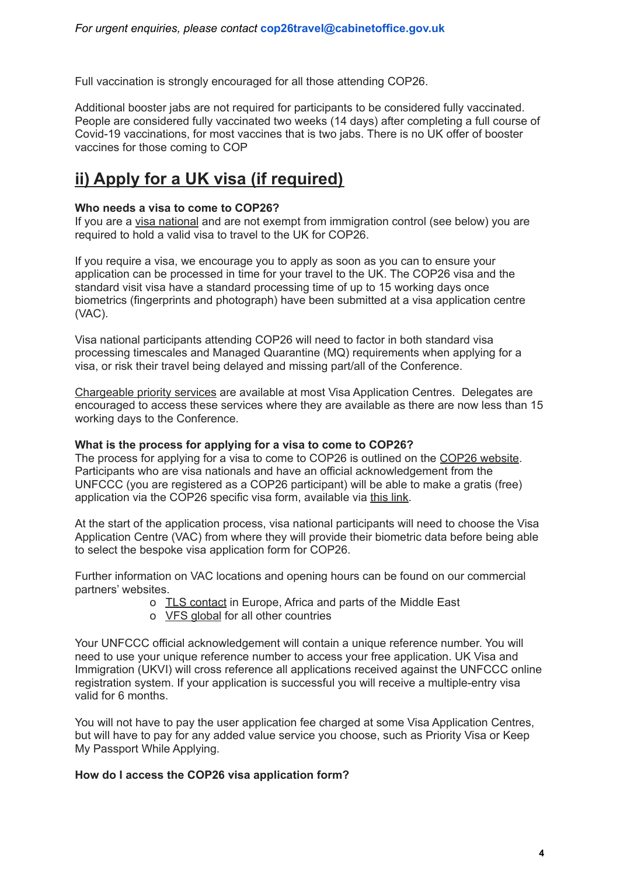Full vaccination is strongly encouraged for all those attending COP26.

Additional booster jabs are not required for participants to be considered fully vaccinated. People are considered fully vaccinated two weeks (14 days) after completing a full course of Covid-19 vaccinations, for most vaccines that is two jabs. There is no UK offer of booster vaccines for those coming to COP

# <span id="page-4-0"></span>**ii) Apply for a UK visa (if required)**

#### **Who needs a visa to come to COP26?**

If you are a visa [national](https://www.gov.uk/guidance/immigration-rules/immigration-rules-appendix-visitor-visa-national-list) and are not exempt from immigration control (see below) you are required to hold a valid visa to travel to the UK for COP26.

If you require a visa, we encourage you to apply as soon as you can to ensure your application can be processed in time for your travel to the UK. The COP26 visa and the standard visit visa have a standard processing time of up to 15 working days once biometrics (fingerprints and photograph) have been submitted at a visa application centre (VAC).

Visa national participants attending COP26 will need to factor in both standard visa processing timescales and Managed Quarantine (MQ) requirements when applying for a visa, or risk their travel being delayed and missing part/all of the Conference.

[Chargeable](https://gbr01.safelinks.protection.outlook.com/?url=https%3A%2F%2Fwww.gov.uk%2Ffaster-decision-visa-settlement%2Fapplying-outside-the-uk&data=04%7C01%7CTanya.Murray-Dennis3%40homeoffice.gov.uk%7Cfb4b159864f44b981a6208d98e4a3161%7Cf24d93ecb2914192a08af182245945c2%7C0%7C0%7C637697271867299053%7CUnknown%7CTWFpbGZsb3d8eyJWIjoiMC4wLjAwMDAiLCJQIjoiV2luMzIiLCJBTiI6Ik1haWwiLCJXVCI6Mn0%3D%7C1000&sdata=V2U2iBIwM5bEoHDHjJeBL0SihgRqrlKt4W6jBcDALj4%3D&reserved=0) priority services are available at most Visa Application Centres. Delegates are encouraged to access these services where they are available as there are now less than 15 working days to the Conference.

#### **What is the process for applying for a visa to come to COP26?**

The process for applying for a visa to come to COP26 is outlined on the COP26 [website](https://ukcop26.org/the-conference/delegates/). Participants who are visa nationals and have an official acknowledgement from the UNFCCC (you are registered as a COP26 participant) will be able to make a gratis (free) application via the COP26 specific visa form, available via [this](https://visas-immigration.service.gov.uk/country-selection) link.

At the start of the application process, visa national participants will need to choose the Visa Application Centre (VAC) from where they will provide their biometric data before being able to select the bespoke visa application form for COP26.

Further information on VAC locations and opening hours can be found on our commercial partners' websites.

- o TLS [contact](https://uk.tlscontact.com/) in Europe, Africa and parts of the Middle East
- o VFS [global](https://www.vfsglobal.co.uk/) for all other countries

Your UNFCCC official acknowledgement will contain a unique reference number. You will need to use your unique reference number to access your free application. UK Visa and Immigration (UKVI) will cross reference all applications received against the UNFCCC online registration system. If your application is successful you will receive a multiple-entry visa valid for 6 months.

You will not have to pay the user application fee charged at some Visa Application Centres, but will have to pay for any added value service you choose, such as Priority Visa or Keep My Passport While Applying.

#### **How do I access the COP26 visa application form?**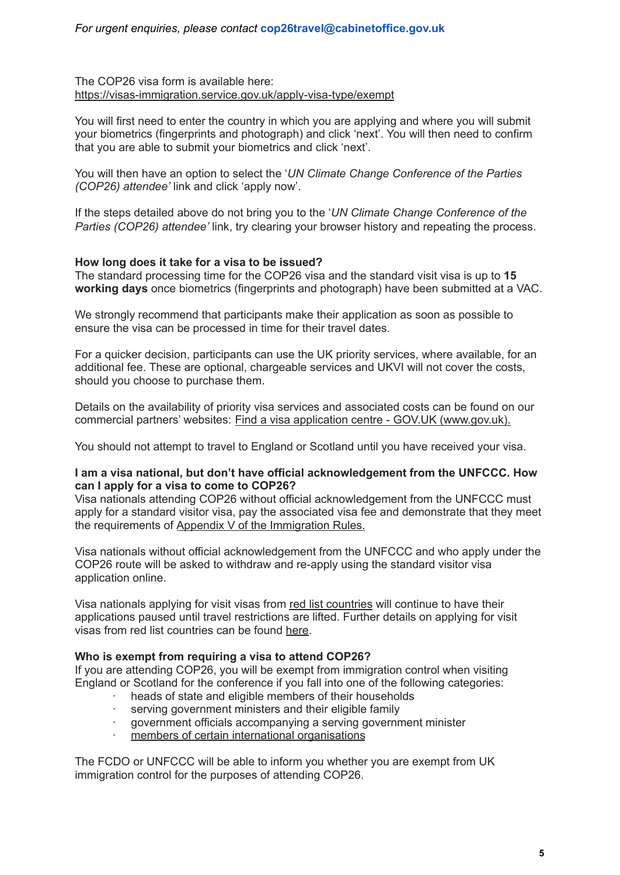The COP26 visa form is available here[:](https://visas-immigration.service.gov.uk/country-selection) [https://visas-immigration.service.gov.uk/apply-visa-type/exempt](https://visas-immigration.service.gov.uk/country-selection)

You will first need to enter the country in which you are applying and where you will submit your biometrics (fingerprints and photograph) and click 'next'. You will then need to confirm that you are able to submit your biometrics and click 'next'.

You will then have an option to select the '*UN Climate Change Conference of the Parties (COP26) attendee'* link and click 'apply now'.

If the steps detailed above do not bring you to the '*UN Climate Change Conference of the Parties (COP26) attendee'* link, try clearing your browser history and repeating the process.

#### **How long does it take for a visa to be issued?**

The standard processing time for the COP26 visa and the standard visit visa is up to **15 working days** once biometrics (fingerprints and photograph) have been submitted at a VAC.

We strongly recommend that participants make their application as soon as possible to ensure the visa can be processed in time for their travel dates.

For a quicker decision, participants can use the UK priority services, where available, for an additional fee. These are optional, chargeable services and UKVI will not cover the costs, should you choose to purchase them.

Details on the availability of priority visa services and associated costs can be found on our commercial partners' websites: Find a visa application centre - GOV.UK [\(www.gov.uk\)](https://www.gov.uk/find-a-visa-application-centre).

You should not attempt to travel to England or Scotland until you have received your visa.

#### **I am a visa national, but don't have official acknowledgement from the UNFCCC. How can I apply for a visa to come to COP26?**

Visa nationals attending COP26 without official acknowledgement from the UNFCCC must apply for a standard visitor visa, pay the associated visa fee and demonstrate that they meet the requirements of Appendix V of the [Immigration](https://www.gov.uk/guidance/immigration-rules/immigration-rules-appendix-v-visitor) Rules.

Visa nationals without official acknowledgement from the UNFCCC and who apply under the COP26 route will be asked to withdraw and re-apply using the standard visitor visa application online.

Visa nationals applying for visit visas from red list [countries](https://www.gov.uk/guidance/red-amber-and-green-list-rules-for-entering-england#red-list) will continue to have their applications paused until travel restrictions are lifted. Further details on applying for visit visas from red list countries can be found [here.](https://www.gov.uk/guidance/coronavirus-covid-19-advice-for-uk-visa-applicants-and-temporary-uk-residents#outside-uk)

#### **Who is exempt from requiring a visa to attend COP26?**

If you are attending COP26, you will be exempt from immigration control when visiting England or Scotland for the conference if you fall into one of the following categories:

- heads of state and eligible members of their households
- serving government ministers and their eligible family
- · government officials accompanying a serving government minister
- members of certain international [organisations](https://www.gov.uk/government/publications/list-of-international-organisations-whose-employees-do-not-need-entry-clearance)

The FCDO or UNFCCC will be able to inform you whether you are exempt from UK immigration control for the purposes of attending COP26.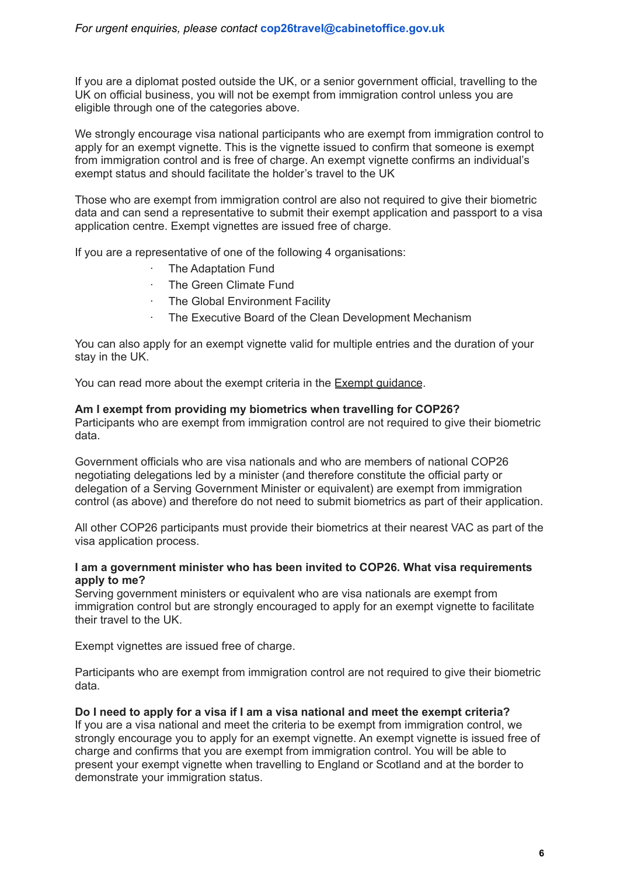If you are a diplomat posted outside the UK, or a senior government official, travelling to the UK on official business, you will not be exempt from immigration control unless you are eligible through one of the categories above.

We strongly encourage visa national participants who are exempt from immigration control to apply for an exempt vignette. This is the vignette issued to confirm that someone is exempt from immigration control and is free of charge. An exempt vignette confirms an individual's exempt status and should facilitate the holder's travel to the UK

Those who are exempt from immigration control are also not required to give their biometric data and can send a representative to submit their exempt application and passport to a visa application centre. Exempt vignettes are issued free of charge.

If you are a representative of one of the following 4 organisations:

- · The Adaptation Fund
- · The Green Climate Fund
- · The Global Environment Facility
- The Executive Board of the Clean Development Mechanism

You can also apply for an exempt vignette valid for multiple entries and the duration of your stay in the UK.

You can read more about the exempt criteria in the Exempt [guidance](https://www.gov.uk/government/publications/exempt-exm/exempt-exm).

#### **Am I exempt from providing my biometrics when travelling for COP26?**

Participants who are exempt from immigration control are not required to give their biometric data.

Government officials who are visa nationals and who are members of national COP26 negotiating delegations led by a minister (and therefore constitute the official party or delegation of a Serving Government Minister or equivalent) are exempt from immigration control (as above) and therefore do not need to submit biometrics as part of their application.

All other COP26 participants must provide their biometrics at their nearest VAC as part of the visa application process.

#### **I am a government minister who has been invited to COP26. What visa requirements apply to me?**

Serving government ministers or equivalent who are visa nationals are exempt from immigration control but are strongly encouraged to apply for an exempt vignette to facilitate their travel to the UK.

Exempt vignettes are issued free of charge.

Participants who are exempt from immigration control are not required to give their biometric data*.*

#### **Do I need to apply for a visa if I am a visa national and meet the exempt criteria?**

If you are a visa national and meet the criteria to be exempt from immigration control, we strongly encourage you to apply for an exempt vignette. An exempt vignette is issued free of charge and confirms that you are exempt from immigration control. You will be able to present your exempt vignette when travelling to England or Scotland and at the border to demonstrate your immigration status.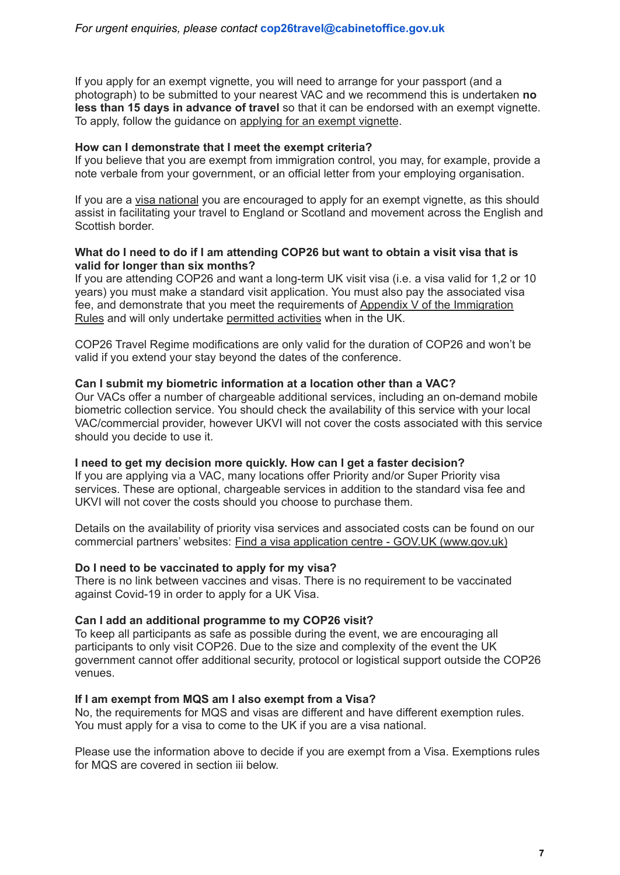If you apply for an exempt vignette, you will need to arrange for your passport (and a photograph) to be submitted to your nearest VAC and we recommend this is undertaken **no less than 15 days in advance of travel** so that it can be endorsed with an exempt vignette. To apply, follow the guidance on [applying](https://www.gov.uk/exempt-vignette) for an exempt vignette.

#### **How can I demonstrate that I meet the exempt criteria?**

If you believe that you are exempt from immigration control, you may, for example, provide a note verbale from your government, or an official letter from your employing organisation.

If you are a visa [national](https://www.gov.uk/guidance/immigration-rules/immigration-rules-appendix-visitor-visa-national-list) you are encouraged to apply for an exempt vignette, as this should assist in facilitating your travel to England or Scotland and movement across the English and Scottish border.

#### **What do I need to do if I am attending COP26 but want to obtain a visit visa that is valid for longer than six months?**

If you are attending COP26 and want a long-term UK visit visa (i.e. a visa valid for 1,2 or 10 years) you must make a standard visit application. You must also pay the associated visa fee, and demonstrate that you meet the requirements of Appendix V of the [Immigration](https://www.gov.uk/guidance/immigration-rules/immigration-rules-appendix-v-visitor) [Rules](https://www.gov.uk/guidance/immigration-rules/immigration-rules-appendix-v-visitor) and will only undertake [permitted](https://www.gov.uk/guidance/immigration-rules/immigration-rules-appendix-visitor-permitted-activities) activities when in the UK.

COP26 Travel Regime modifications are only valid for the duration of COP26 and won't be valid if you extend your stay beyond the dates of the conference.

#### **Can I submit my biometric information at a location other than a VAC?**

Our VACs offer a number of chargeable additional services, including an on-demand mobile biometric collection service. You should check the availability of this service with your local VAC/commercial provider, however UKVI will not cover the costs associated with this service should you decide to use it.

#### **I need to get my decision more quickly. How can I get a faster decision?**

If you are applying via a VAC, many locations offer Priority and/or Super Priority visa services. These are optional, chargeable services in addition to the standard visa fee and UKVI will not cover the costs should you choose to purchase them.

Details on the availability of priority visa services and associated costs can be found on our commercial partners' websites: Find a visa application centre - GOV.UK [\(www.gov.uk\)](https://www.gov.uk/find-a-visa-application-centre)

#### **Do I need to be vaccinated to apply for my visa?**

There is no link between vaccines and visas. There is no requirement to be vaccinated against Covid-19 in order to apply for a UK Visa.

#### **Can I add an additional programme to my COP26 visit?**

To keep all participants as safe as possible during the event, we are encouraging all participants to only visit COP26. Due to the size and complexity of the event the UK government cannot offer additional security, protocol or logistical support outside the COP26 venues.

#### **If I am exempt from MQS am I also exempt from a Visa?**

No, the requirements for MQS and visas are different and have different exemption rules. You must apply for a visa to come to the UK if you are a visa national.

Please use the information above to decide if you are exempt from a Visa. Exemptions rules for MQS are covered in section iii below.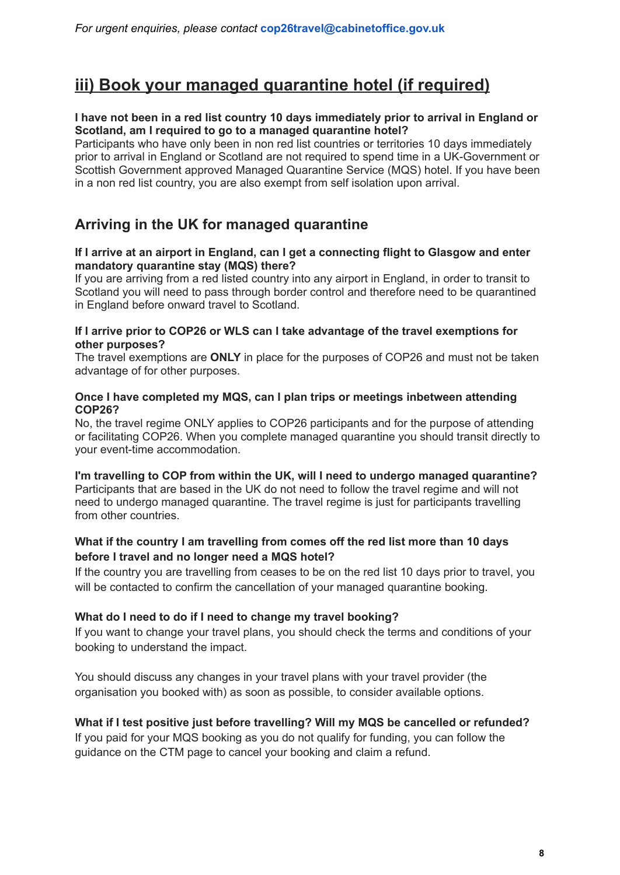# <span id="page-8-0"></span>**iii) Book your managed quarantine hotel (if required)**

#### **I have not been in a red list country 10 days immediately prior to arrival in England or Scotland, am I required to go to a managed quarantine hotel?**

Participants who have only been in non red list countries or territories 10 days immediately prior to arrival in England or Scotland are not required to spend time in a UK-Government or Scottish Government approved Managed Quarantine Service (MQS) hotel. If you have been in a non red list country, you are also exempt from self isolation upon arrival.

### **Arriving in the UK for managed quarantine**

#### **If I arrive at an airport in England, can I get a connecting flight to Glasgow and enter mandatory quarantine stay (MQS) there?**

If you are arriving from a red listed country into any airport in England, in order to transit to Scotland you will need to pass through border control and therefore need to be quarantined in England before onward travel to Scotland.

#### **If I arrive prior to COP26 or WLS can I take advantage of the travel exemptions for other purposes?**

The travel exemptions are **ONLY** in place for the purposes of COP26 and must not be taken advantage of for other purposes.

#### **Once I have completed my MQS, can I plan trips or meetings inbetween attending COP26?**

No, the travel regime ONLY applies to COP26 participants and for the purpose of attending or facilitating COP26. When you complete managed quarantine you should transit directly to your event-time accommodation.

#### **I'm travelling to COP from within the UK, will I need to undergo managed quarantine?**

Participants that are based in the UK do not need to follow the travel regime and will not need to undergo managed quarantine. The travel regime is just for participants travelling from other countries.

#### **What if the country I am travelling from comes off the red list more than 10 days before I travel and no longer need a MQS hotel?**

If the country you are travelling from ceases to be on the red list 10 days prior to travel, you will be contacted to confirm the cancellation of your managed quarantine booking.

#### **What do I need to do if I need to change my travel booking?**

If you want to change your travel plans, you should check the terms and conditions of your booking to understand the impact.

You should discuss any changes in your travel plans with your travel provider (the organisation you booked with) as soon as possible, to consider available options.

#### **What if I test positive just before travelling? Will my MQS be cancelled or refunded?**

If you paid for your MQS booking as you do not qualify for funding, you can follow the guidance on the CTM page to cancel your booking and claim a refund.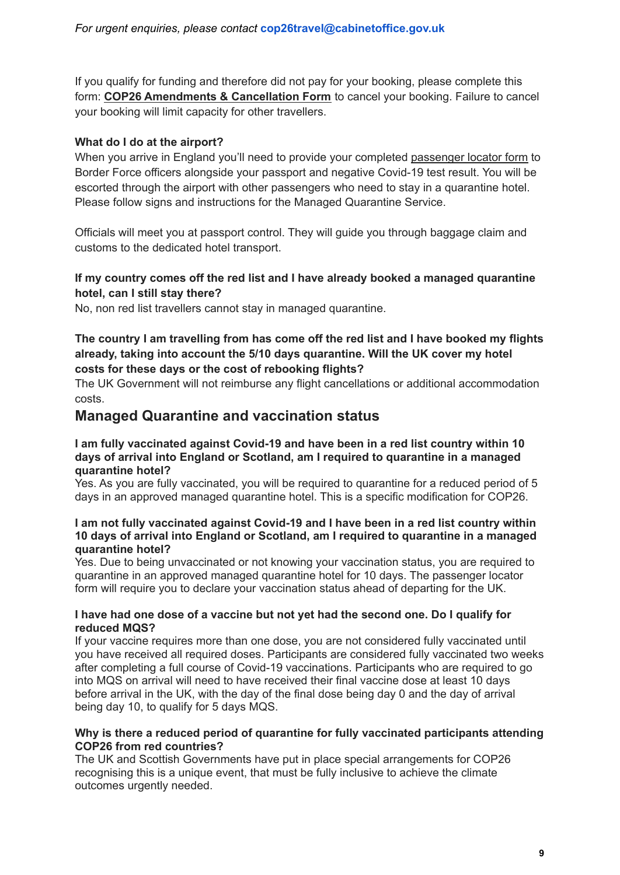If you qualify for funding and therefore did not pay for your booking, please complete this form: **COP26 [Amendments](https://nam11.safelinks.protection.outlook.com/?url=https%3A%2F%2Fapp.smartsheet.com%2Fb%2Fform%2F6ede3e71a7084797a1c08a9225be5da1&data=04%7C01%7Cnatalie.john%40travelctm.com%7Cc3850fe5c3d44db52ca908d97cf39839%7C7b6b8b8928ee4d2e8bead52f79c6af8f%7C0%7C0%7C637678207926474436%7CUnknown%7CTWFpbGZsb3d8eyJWIjoiMC4wLjAwMDAiLCJQIjoiV2luMzIiLCJBTiI6Ik1haWwiLCJXVCI6Mn0%3D%7C1000&sdata=TS12eNI436i9jGt4sEsjIGT%2B2nT%2B%2FmA7CXNwKV66Pg0%3D&reserved=0) & Cancellation Form** to cancel your booking. Failure to cancel your booking will limit capacity for other travellers.

#### **What do I do at the airport?**

When you arrive in England you'll need to provide your completed [passenger](https://www.gov.uk/provide-journey-contact-details-before-travel-uk) locator form to Border Force officers alongside your passport and negative Covid-19 test result. You will be escorted through the airport with other passengers who need to stay in a quarantine hotel. Please follow signs and instructions for the Managed Quarantine Service.

Officials will meet you at passport control. They will guide you through baggage claim and customs to the dedicated hotel transport.

#### **If my country comes off the red list and I have already booked a managed quarantine hotel, can I still stay there?**

No, non red list travellers cannot stay in managed quarantine.

#### **The country I am travelling from has come off the red list and I have booked my flights already, taking into account the 5/10 days quarantine. Will the UK cover my hotel costs for these days or the cost of rebooking flights?**

The UK Government will not reimburse any flight cancellations or additional accommodation costs.

#### **Managed Quarantine and vaccination status**

#### **I am fully vaccinated against Covid-19 and have been in a red list country within 10 days of arrival into England or Scotland, am I required to quarantine in a managed quarantine hotel?**

Yes. As you are fully vaccinated, you will be required to quarantine for a reduced period of 5 days in an approved managed quarantine hotel. This is a specific modification for COP26.

#### **I am not fully vaccinated against Covid-19 and I have been in a red list country within 10 days of arrival into England or Scotland, am I required to quarantine in a managed quarantine hotel?**

Yes. Due to being unvaccinated or not knowing your vaccination status, you are required to quarantine in an approved managed quarantine hotel for 10 days. The passenger locator form will require you to declare your vaccination status ahead of departing for the UK.

#### **I have had one dose of a vaccine but not yet had the second one. Do I qualify for reduced MQS?**

If your vaccine requires more than one dose, you are not considered fully vaccinated until you have received all required doses. Participants are considered fully vaccinated two weeks after completing a full course of Covid-19 vaccinations. Participants who are required to go into MQS on arrival will need to have received their final vaccine dose at least 10 days before arrival in the UK, with the day of the final dose being day 0 and the day of arrival being day 10, to qualify for 5 days MQS.

#### **Why is there a reduced period of quarantine for fully vaccinated participants attending COP26 from red countries?**

The UK and Scottish Governments have put in place special arrangements for COP26 recognising this is a unique event, that must be fully inclusive to achieve the climate outcomes urgently needed.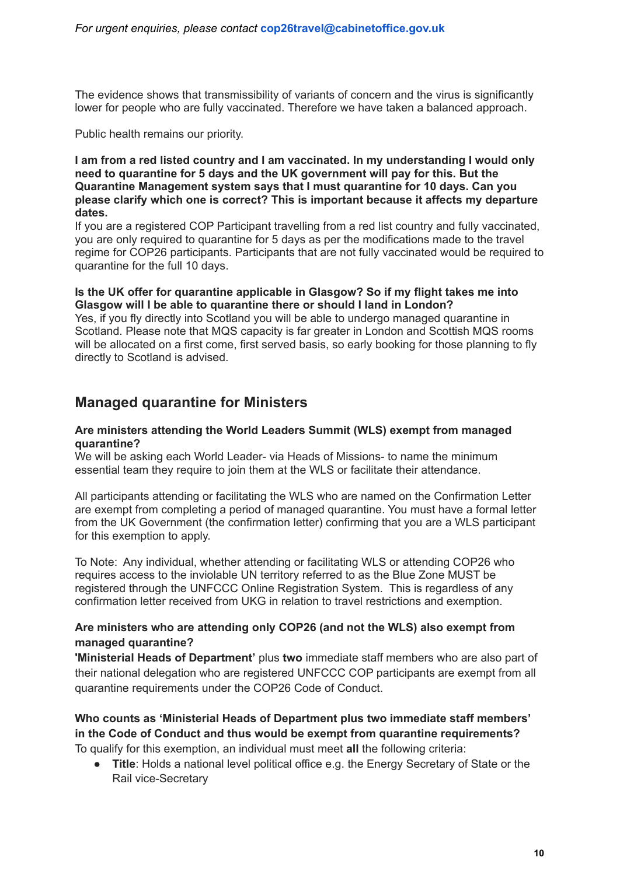The evidence shows that transmissibility of variants of concern and the virus is significantly lower for people who are fully vaccinated. Therefore we have taken a balanced approach.

Public health remains our priority.

#### **I am from a red listed country and I am vaccinated. In my understanding I would only need to quarantine for 5 days and the UK government will pay for this. But the Quarantine Management system says that I must quarantine for 10 days. Can you please clarify which one is correct? This is important because it affects my departure dates.**

If you are a registered COP Participant travelling from a red list country and fully vaccinated, you are only required to quarantine for 5 days as per the modifications made to the travel regime for COP26 participants. Participants that are not fully vaccinated would be required to quarantine for the full 10 days.

#### **Is the UK offer for quarantine applicable in Glasgow? So if my flight takes me into Glasgow will I be able to quarantine there or should I land in London?**

Yes, if you fly directly into Scotland you will be able to undergo managed quarantine in Scotland. Please note that MQS capacity is far greater in London and Scottish MQS rooms will be allocated on a first come, first served basis, so early booking for those planning to fly directly to Scotland is advised.

### **Managed quarantine for Ministers**

#### **Are ministers attending the World Leaders Summit (WLS) exempt from managed quarantine?**

We will be asking each World Leader- via Heads of Missions- to name the minimum essential team they require to join them at the WLS or facilitate their attendance.

All participants attending or facilitating the WLS who are named on the Confirmation Letter are exempt from completing a period of managed quarantine. You must have a formal letter from the UK Government (the confirmation letter) confirming that you are a WLS participant for this exemption to apply.

To Note: Any individual, whether attending or facilitating WLS or attending COP26 who requires access to the inviolable UN territory referred to as the Blue Zone MUST be registered through the UNFCCC Online Registration System. This is regardless of any confirmation letter received from UKG in relation to travel restrictions and exemption.

#### **Are ministers who are attending only COP26 (and not the WLS) also exempt from managed quarantine?**

**'Ministerial Heads of Department'** plus **two** immediate staff members who are also part of their national delegation who are registered UNFCCC COP participants are exempt from all quarantine requirements under the COP26 Code of Conduct.

## **Who counts as 'Ministerial Heads of Department plus two immediate staff members' in the Code of Conduct and thus would be exempt from quarantine requirements?**

To qualify for this exemption, an individual must meet **all** the following criteria:

● **Title**: Holds a national level political office e.g. the Energy Secretary of State or the Rail vice-Secretary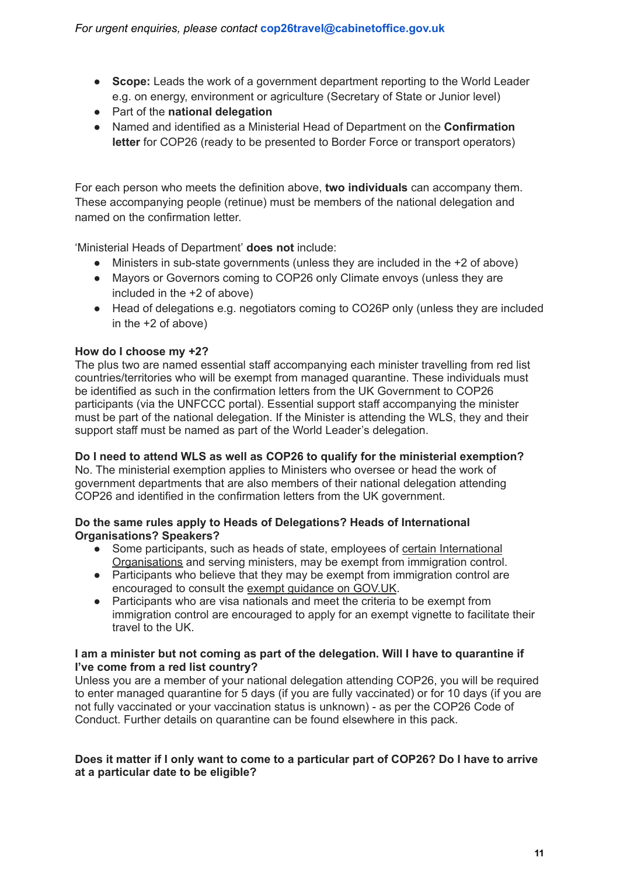- **Scope:** Leads the work of a government department reporting to the World Leader e.g. on energy, environment or agriculture (Secretary of State or Junior level)
- Part of the **national delegation**
- Named and identified as a Ministerial Head of Department on the **Confirmation letter** for COP26 (ready to be presented to Border Force or transport operators)

For each person who meets the definition above, **two individuals** can accompany them. These accompanying people (retinue) must be members of the national delegation and named on the confirmation letter.

'Ministerial Heads of Department' **does not** include:

- Ministers in sub-state governments (unless they are included in the +2 of above)
- Mayors or Governors coming to COP26 only Climate envoys (unless they are included in the +2 of above)
- Head of delegations e.g. negotiators coming to CO26P only (unless they are included in the +2 of above)

#### **How do I choose my +2?**

The plus two are named essential staff accompanying each minister travelling from red list countries/territories who will be exempt from managed quarantine. These individuals must be identified as such in the confirmation letters from the UK Government to COP26 participants (via the UNFCCC portal). Essential support staff accompanying the minister must be part of the national delegation. If the Minister is attending the WLS, they and their support staff must be named as part of the World Leader's delegation.

**Do I need to attend WLS as well as COP26 to qualify for the ministerial exemption?** No. The ministerial exemption applies to Ministers who oversee or head the work of government departments that are also members of their national delegation attending COP26 and identified in the confirmation letters from the UK government.

#### **Do the same rules apply to Heads of Delegations? Heads of International Organisations? Speakers?**

- Some participants, such as heads of state, employees of certain [International](https://www.gov.uk/government/publications/list-of-international-organisations-whose-employees-do-not-need-entry-clearance) [Organisations](https://www.gov.uk/government/publications/list-of-international-organisations-whose-employees-do-not-need-entry-clearance) and serving ministers, may be exempt from immigration control.
- Participants who believe that they may be exempt from immigration control are encouraged to consult the exempt [guidance](https://www.gov.uk/government/publications/exempt-exm/exempt-exm) on GOV.UK.
- Participants who are visa nationals and meet the criteria to be exempt from immigration control are encouraged to apply for an exempt vignette to facilitate their travel to the UK.

#### **I am a minister but not coming as part of the delegation. Will I have to quarantine if I've come from a red list country?**

Unless you are a member of your national delegation attending COP26, you will be required to enter managed quarantine for 5 days (if you are fully vaccinated) or for 10 days (if you are not fully vaccinated or your vaccination status is unknown) - as per the COP26 Code of Conduct. Further details on quarantine can be found elsewhere in this pack.

#### Does it matter if I only want to come to a particular part of COP26? Do I have to arrive **at a particular date to be eligible?**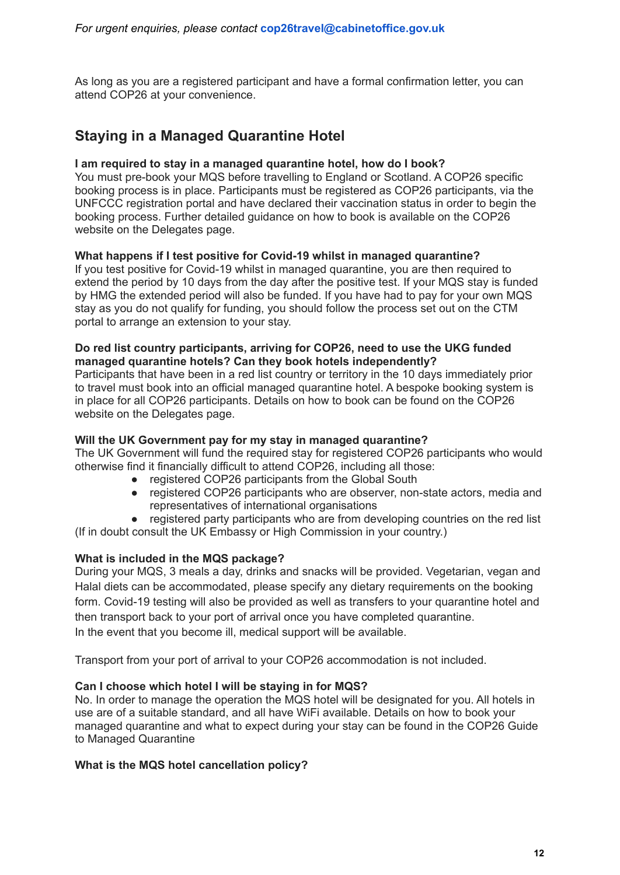As long as you are a registered participant and have a formal confirmation letter, you can attend COP26 at your convenience.

### **Staying in a Managed Quarantine Hotel**

#### **I am required to stay in a managed quarantine hotel, how do I book?**

You must pre-book your MQS before travelling to England or Scotland. A COP26 specific booking process is in place. Participants must be registered as COP26 participants, via the UNFCCC registration portal and have declared their vaccination status in order to begin the booking process. Further detailed guidance on how to book is available on the COP26 website on the Delegates page.

#### **What happens if I test positive for Covid-19 whilst in managed quarantine?**

If you test positive for Covid-19 whilst in managed quarantine, you are then required to extend the period by 10 days from the day after the positive test. If your MQS stay is funded by HMG the extended period will also be funded. If you have had to pay for your own MQS stay as you do not qualify for funding, you should follow the process set out on the CTM portal to arrange an extension to your stay.

#### **Do red list country participants, arriving for COP26, need to use the UKG funded managed quarantine hotels? Can they book hotels independently?**

Participants that have been in a red list country or territory in the 10 days immediately prior to travel must book into an official managed quarantine hotel. A bespoke booking system is in place for all COP26 participants. Details on how to book can be found on the COP26 website on the Delegates page.

#### **Will the UK Government pay for my stay in managed quarantine?**

The UK Government will fund the required stay for registered COP26 participants who would otherwise find it financially difficult to attend COP26, including all those:

- registered COP26 participants from the Global South
- registered COP26 participants who are observer, non-state actors, media and representatives of international organisations
- registered party participants who are from developing countries on the red list (If in doubt consult the UK Embassy or High Commission in your country.)

#### **What is included in the MQS package?**

During your MQS, 3 meals a day, drinks and snacks will be provided. Vegetarian, vegan and Halal diets can be accommodated, please specify any dietary requirements on the booking form. Covid-19 testing will also be provided as well as transfers to your quarantine hotel and then transport back to your port of arrival once you have completed quarantine. In the event that you become ill, medical support will be available.

Transport from your port of arrival to your COP26 accommodation is not included.

#### **Can I choose which hotel I will be staying in for MQS?**

No. In order to manage the operation the MQS hotel will be designated for you. All hotels in use are of a suitable standard, and all have WiFi available. Details on how to book your managed quarantine and what to expect during your stay can be found in the COP26 Guide to Managed Quarantine

#### **What is the MQS hotel cancellation policy?**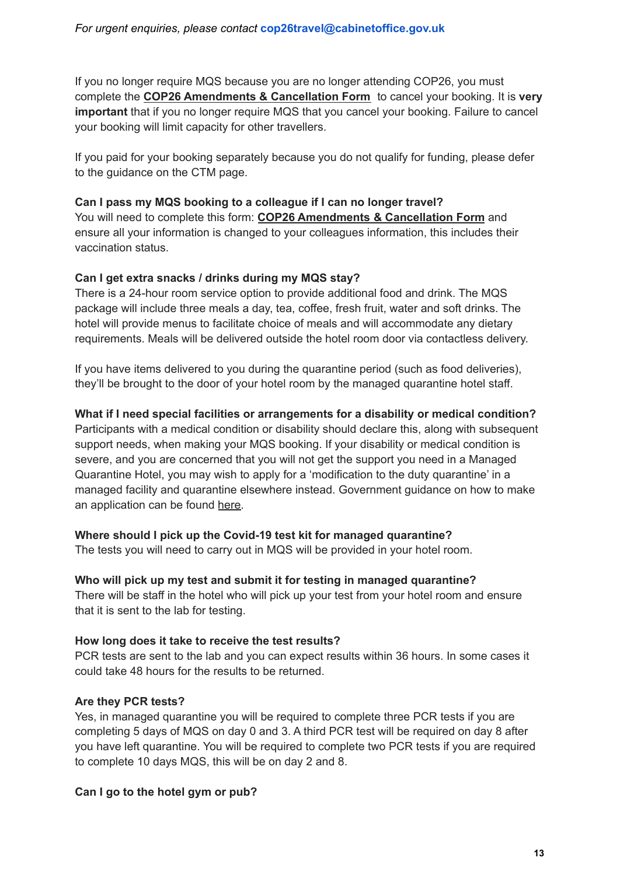If you no longer require MQS because you are no longer attending COP26, you must complete the **COP26 [Amendments](https://nam11.safelinks.protection.outlook.com/?url=https%3A%2F%2Fapp.smartsheet.com%2Fb%2Fform%2F6ede3e71a7084797a1c08a9225be5da1&data=04%7C01%7Cnatalie.john%40travelctm.com%7Cc3850fe5c3d44db52ca908d97cf39839%7C7b6b8b8928ee4d2e8bead52f79c6af8f%7C0%7C0%7C637678207926474436%7CUnknown%7CTWFpbGZsb3d8eyJWIjoiMC4wLjAwMDAiLCJQIjoiV2luMzIiLCJBTiI6Ik1haWwiLCJXVCI6Mn0%3D%7C1000&sdata=TS12eNI436i9jGt4sEsjIGT%2B2nT%2B%2FmA7CXNwKV66Pg0%3D&reserved=0) & Cancellation Form** to cancel your booking. It is **very important** that if you no longer require MQS that you cancel your booking. Failure to cancel your booking will limit capacity for other travellers.

If you paid for your booking separately because you do not qualify for funding, please defer to the guidance on the CTM page.

#### **Can I pass my MQS booking to a colleague if I can no longer travel?**

You will need to complete this form: **COP26 [Amendments](https://nam11.safelinks.protection.outlook.com/?url=https%3A%2F%2Fapp.smartsheet.com%2Fb%2Fform%2F6ede3e71a7084797a1c08a9225be5da1&data=04%7C01%7Cnatalie.john%40travelctm.com%7Cc3850fe5c3d44db52ca908d97cf39839%7C7b6b8b8928ee4d2e8bead52f79c6af8f%7C0%7C0%7C637678207926474436%7CUnknown%7CTWFpbGZsb3d8eyJWIjoiMC4wLjAwMDAiLCJQIjoiV2luMzIiLCJBTiI6Ik1haWwiLCJXVCI6Mn0%3D%7C1000&sdata=TS12eNI436i9jGt4sEsjIGT%2B2nT%2B%2FmA7CXNwKV66Pg0%3D&reserved=0) & Cancellation Form** and ensure all your information is changed to your colleagues information, this includes their vaccination status.

#### **Can I get extra snacks / drinks during my MQS stay?**

There is a 24-hour room service option to provide additional food and drink. The MQS package will include three meals a day, tea, coffee, fresh fruit, water and soft drinks. The hotel will provide menus to facilitate choice of meals and will accommodate any dietary requirements. Meals will be delivered outside the hotel room door via contactless delivery.

If you have items delivered to you during the quarantine period (such as food deliveries), they'll be brought to the door of your hotel room by the managed quarantine hotel staff.

#### **What if I need special facilities or arrangements for a disability or medical condition?**

Participants with a medical condition or disability should declare this, along with subsequent support needs, when making your MQS booking. If your disability or medical condition is severe, and you are concerned that you will not get the support you need in a Managed Quarantine Hotel, you may wish to apply for a 'modification to the duty quarantine' in a managed facility and quarantine elsewhere instead. Government guidance on how to make an application can be found [here.](https://www.gov.uk/guidance/exemptions-from-managed-quarantine-for-medical-and-compassionate-reasons)

#### **Where should I pick up the Covid-19 test kit for managed quarantine?**

The tests you will need to carry out in MQS will be provided in your hotel room.

#### **Who will pick up my test and submit it for testing in managed quarantine?**

There will be staff in the hotel who will pick up your test from your hotel room and ensure that it is sent to the lab for testing.

#### **How long does it take to receive the test results?**

PCR tests are sent to the lab and you can expect results within 36 hours. In some cases it could take 48 hours for the results to be returned.

#### **Are they PCR tests?**

Yes, in managed quarantine you will be required to complete three PCR tests if you are completing 5 days of MQS on day 0 and 3. A third PCR test will be required on day 8 after you have left quarantine. You will be required to complete two PCR tests if you are required to complete 10 days MQS, this will be on day 2 and 8.

#### **Can I go to the hotel gym or pub?**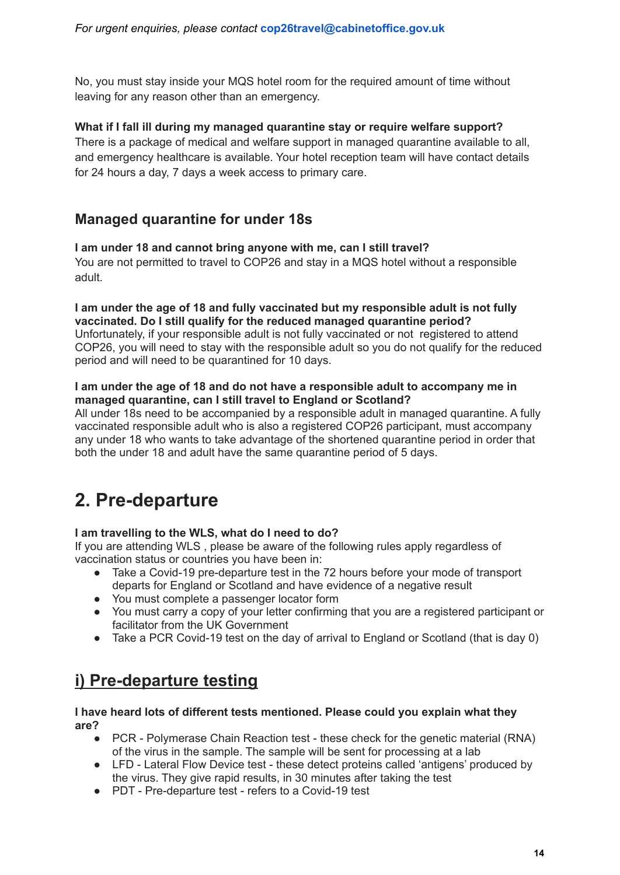No, you must stay inside your MQS hotel room for the required amount of time without leaving for any reason other than an emergency.

#### **What if I fall ill during my managed quarantine stay or require welfare support?**

There is a package of medical and welfare support in managed quarantine available to all, and emergency healthcare is available. Your hotel reception team will have contact details for 24 hours a day, 7 days a week access to primary care.

### **Managed quarantine for under 18s**

#### **I am under 18 and cannot bring anyone with me, can I still travel?**

You are not permitted to travel to COP26 and stay in a MQS hotel without a responsible adult.

#### **I am under the age of 18 and fully vaccinated but my responsible adult is not fully vaccinated. Do I still qualify for the reduced managed quarantine period?**

Unfortunately, if your responsible adult is not fully vaccinated or not registered to attend COP26, you will need to stay with the responsible adult so you do not qualify for the reduced period and will need to be quarantined for 10 days.

#### **I am under the age of 18 and do not have a responsible adult to accompany me in managed quarantine, can I still travel to England or Scotland?**

All under 18s need to be accompanied by a responsible adult in managed quarantine. A fully vaccinated responsible adult who is also a registered COP26 participant, must accompany any under 18 who wants to take advantage of the shortened quarantine period in order that both the under 18 and adult have the same quarantine period of 5 days.

# <span id="page-14-0"></span>**2. Pre-departure**

#### **I am travelling to the WLS, what do I need to do?**

If you are attending WLS , please be aware of the following rules apply regardless of vaccination status or countries you have been in:

- Take a Covid-19 pre-departure test in the 72 hours before your mode of transport departs for England or Scotland and have evidence of a negative result
- You must complete a passenger locator form
- You must carry a copy of your letter confirming that you are a registered participant or facilitator from the UK Government
- Take a PCR Covid-19 test on the day of arrival to England or Scotland (that is day 0)

# <span id="page-14-1"></span>**i) Pre-departure testing**

#### **I have heard lots of different tests mentioned. Please could you explain what they are?**

- PCR Polymerase Chain Reaction test these check for the genetic material (RNA) of the virus in the sample. The sample will be sent for processing at a lab
- LFD Lateral Flow Device test these detect proteins called 'antigens' produced by the virus. They give rapid results, in 30 minutes after taking the test
- PDT Pre-departure test refers to a Covid-19 test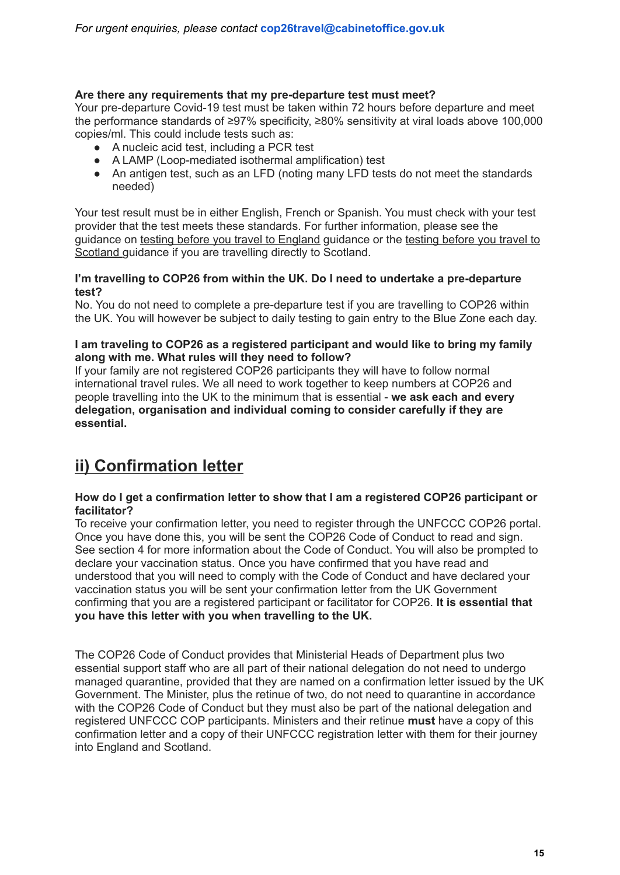#### **Are there any requirements that my pre-departure test must meet?**

Your pre-departure Covid-19 test must be taken within 72 hours before departure and meet the performance standards of ≥97% specificity, ≥80% sensitivity at viral loads above 100,000 copies/ml. This could include tests such as:

- A nucleic acid test, including a PCR test
- A LAMP (Loop-mediated isothermal amplification) test
- An antigen test, such as an LFD (noting many LFD tests do not meet the standards needed)

Your test result must be in either English, French or Spanish. You must check with your test provider that the test meets these standards. For further information, please see the guidance on testing before you travel to [England](https://www.gov.uk/guidance/coronavirus-covid-19-testing-for-people-travelling-to-england) guidance or the [testing](https://www.gov.scot/publications/coronavirus-covid-19-international-travel-quarantine/pages/testing-for-people-travelling-to-scotland/) before you travel to [Scotland](https://www.gov.scot/publications/coronavirus-covid-19-international-travel-quarantine/pages/testing-for-people-travelling-to-scotland/) guidance if you are travelling directly to Scotland.

#### **I'm travelling to COP26 from within the UK. Do I need to undertake a pre-departure test?**

No. You do not need to complete a pre-departure test if you are travelling to COP26 within the UK. You will however be subject to daily testing to gain entry to the Blue Zone each day.

#### **I am traveling to COP26 as a registered participant and would like to bring my family along with me. What rules will they need to follow?**

If your family are not registered COP26 participants they will have to follow normal international travel rules. We all need to work together to keep numbers at COP26 and people travelling into the UK to the minimum that is essential - **we ask each and every delegation, organisation and individual coming to consider carefully if they are essential.**

# **ii) Confirmation letter**

#### **How do I get a confirmation letter to show that I am a registered COP26 participant or facilitator?**

To receive your confirmation letter, you need to register through the UNFCCC COP26 portal. Once you have done this, you will be sent the COP26 Code of Conduct to read and sign. See section 4 for more information about the Code of Conduct. You will also be prompted to declare your vaccination status. Once you have confirmed that you have read and understood that you will need to comply with the Code of Conduct and have declared your vaccination status you will be sent your confirmation letter from the UK Government confirming that you are a registered participant or facilitator for COP26. **It is essential that you have this letter with you when travelling to the UK.**

The COP26 Code of Conduct provides that Ministerial Heads of Department plus two essential support staff who are all part of their national delegation do not need to undergo managed quarantine, provided that they are named on a confirmation letter issued by the UK Government. The Minister, plus the retinue of two, do not need to quarantine in accordance with the COP26 Code of Conduct but they must also be part of the national delegation and registered UNFCCC COP participants. Ministers and their retinue **must** have a copy of this confirmation letter and a copy of their UNFCCC registration letter with them for their journey into England and Scotland.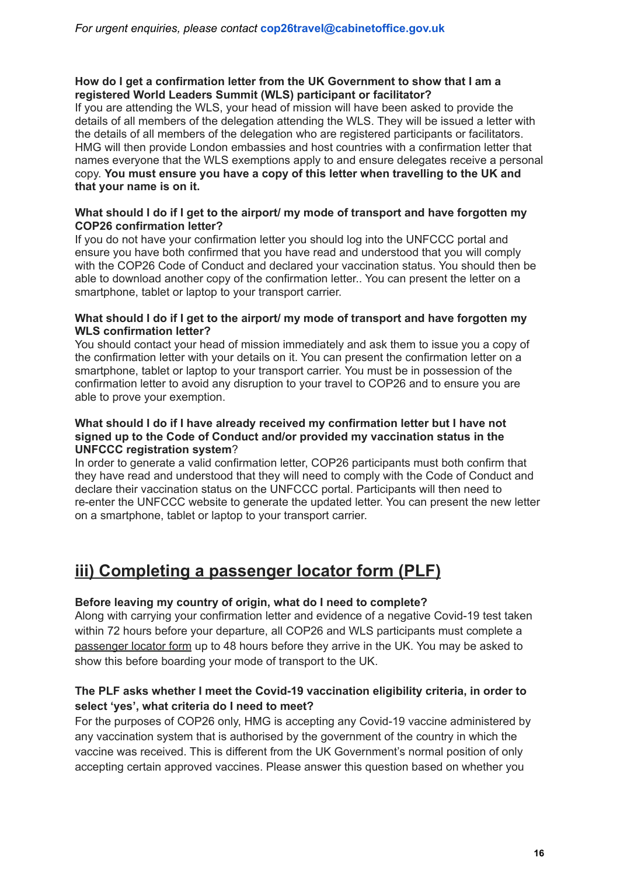#### **How do I get a confirmation letter from the UK Government to show that I am a registered World Leaders Summit (WLS) participant or facilitator?**

If you are attending the WLS, your head of mission will have been asked to provide the details of all members of the delegation attending the WLS. They will be issued a letter with the details of all members of the delegation who are registered participants or facilitators. HMG will then provide London embassies and host countries with a confirmation letter that names everyone that the WLS exemptions apply to and ensure delegates receive a personal copy. **You must ensure you have a copy of this letter when travelling to the UK and that your name is on it.**

#### **What should I do if I get to the airport/ my mode of transport and have forgotten my COP26 confirmation letter?**

If you do not have your confirmation letter you should log into the UNFCCC portal and ensure you have both confirmed that you have read and understood that you will comply with the COP26 Code of Conduct and declared your vaccination status. You should then be able to download another copy of the confirmation letter.. You can present the letter on a smartphone, tablet or laptop to your transport carrier.

#### **What should I do if I get to the airport/ my mode of transport and have forgotten my WLS confirmation letter?**

You should contact your head of mission immediately and ask them to issue you a copy of the confirmation letter with your details on it. You can present the confirmation letter on a smartphone, tablet or laptop to your transport carrier. You must be in possession of the confirmation letter to avoid any disruption to your travel to COP26 and to ensure you are able to prove your exemption.

#### **What should I do if I have already received my confirmation letter but I have not signed up to the Code of Conduct and/or provided my vaccination status in the UNFCCC registration system**?

In order to generate a valid confirmation letter, COP26 participants must both confirm that they have read and understood that they will need to comply with the Code of Conduct and declare their vaccination status on the UNFCCC portal. Participants will then need to re-enter the UNFCCC website to generate the updated letter. You can present the new letter on a smartphone, tablet or laptop to your transport carrier.

# <span id="page-16-0"></span>**iii) Completing a passenger locator form (PLF)**

#### **Before leaving my country of origin, what do I need to complete?**

Along with carrying your confirmation letter and evidence of a negative Covid-19 test taken within 72 hours before your departure, all COP26 and WLS participants must complete a [passenger](https://www.gov.uk/provide-journey-contact-details-before-travel-uk) locator form up to 48 hours before they arrive in the UK. You may be asked to show this before boarding your mode of transport to the UK.

#### **The PLF asks whether I meet the Covid-19 vaccination eligibility criteria, in order to select 'yes', what criteria do I need to meet?**

For the purposes of COP26 only, HMG is accepting any Covid-19 vaccine administered by any vaccination system that is authorised by the government of the country in which the vaccine was received. This is different from the UK Government's normal position of only accepting certain approved vaccines. Please answer this question based on whether you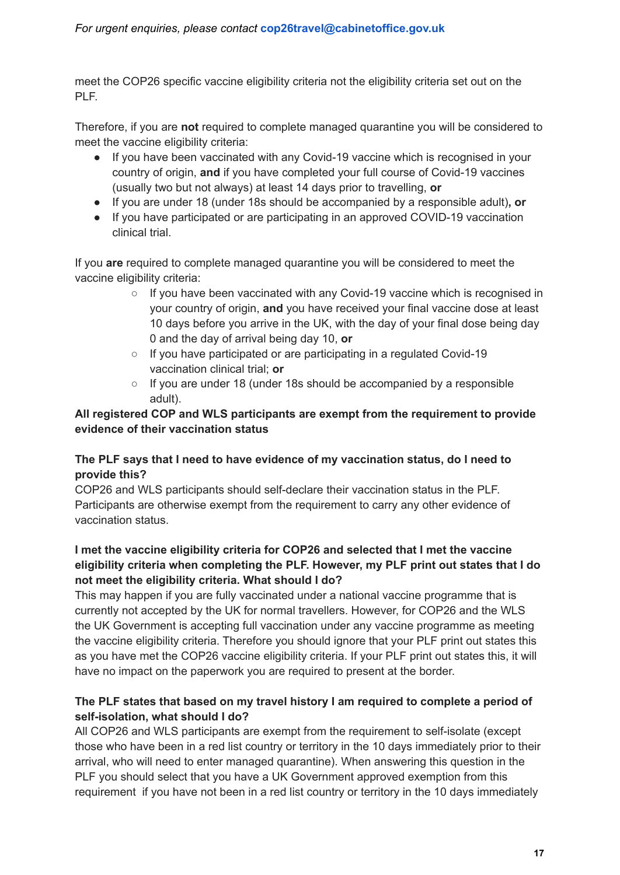#### *For urgent enquiries, please contact* **[cop26travel@cabinetoffice.gov.uk](mailto:cop26travel@cabinetoffice.gov.uk)**

meet the COP26 specific vaccine eligibility criteria not the eligibility criteria set out on the PLF.

Therefore, if you are **not** required to complete managed quarantine you will be considered to meet the vaccine eligibility criteria:

- If you have been vaccinated with any Covid-19 vaccine which is recognised in your country of origin, **and** if you have completed your full course of Covid-19 vaccines (usually two but not always) at least 14 days prior to travelling, **or**
- **●** If you are under 18 (under 18s should be accompanied by a responsible adult)**, or**
- **●** If you have participated or are participating in an approved COVID-19 vaccination clinical trial.

If you **are** required to complete managed quarantine you will be considered to meet the vaccine eligibility criteria:

- $\circ$  If you have been vaccinated with any Covid-19 vaccine which is recognised in your country of origin, **and** you have received your final vaccine dose at least 10 days before you arrive in the UK, with the day of your final dose being day 0 and the day of arrival being day 10, **or**
- If you have participated or are participating in a regulated Covid-19 vaccination clinical trial; **or**
- If you are under 18 (under 18s should be accompanied by a responsible adult).

#### **All registered COP and WLS participants are exempt from the requirement to provide evidence of their vaccination status**

#### **The PLF says that I need to have evidence of my vaccination status, do I need to provide this?**

COP26 and WLS participants should self-declare their vaccination status in the PLF. Participants are otherwise exempt from the requirement to carry any other evidence of vaccination status.

#### **I met the vaccine eligibility criteria for COP26 and selected that I met the vaccine eligibility criteria when completing the PLF. However, my PLF print out states that I do not meet the eligibility criteria. What should I do?**

This may happen if you are fully vaccinated under a national vaccine programme that is currently not accepted by the UK for normal travellers. However, for COP26 and the WLS the UK Government is accepting full vaccination under any vaccine programme as meeting the vaccine eligibility criteria. Therefore you should ignore that your PLF print out states this as you have met the COP26 vaccine eligibility criteria. If your PLF print out states this, it will have no impact on the paperwork you are required to present at the border.

#### **The PLF states that based on my travel history I am required to complete a period of self-isolation, what should I do?**

All COP26 and WLS participants are exempt from the requirement to self-isolate (except those who have been in a red list country or territory in the 10 days immediately prior to their arrival, who will need to enter managed quarantine). When answering this question in the PLF you should select that you have a UK Government approved exemption from this requirement if you have not been in a red list country or territory in the 10 days immediately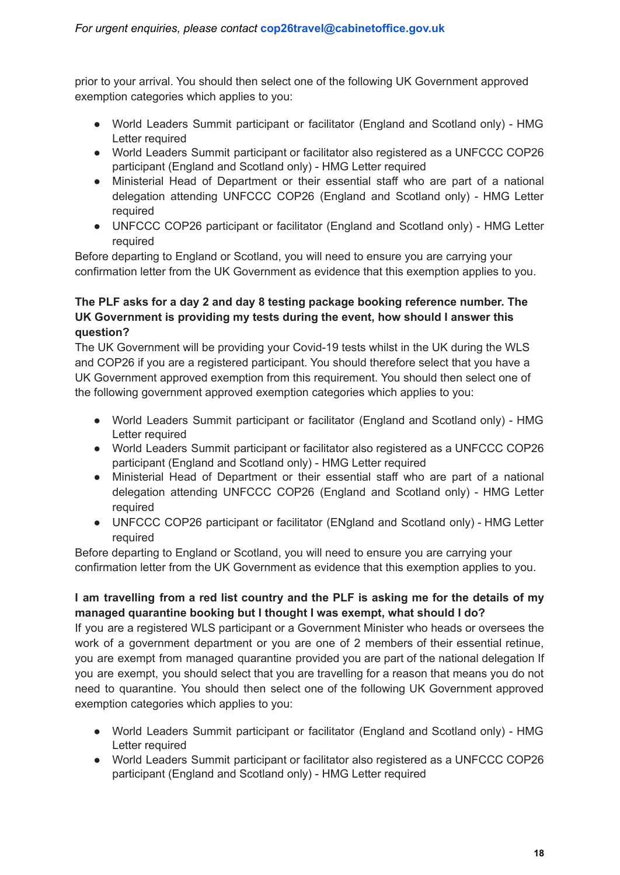prior to your arrival. You should then select one of the following UK Government approved exemption categories which applies to you:

- World Leaders Summit participant or facilitator (England and Scotland only) HMG Letter required
- World Leaders Summit participant or facilitator also registered as a UNFCCC COP26 participant (England and Scotland only) - HMG Letter required
- Ministerial Head of Department or their essential staff who are part of a national delegation attending UNFCCC COP26 (England and Scotland only) - HMG Letter required
- UNFCCC COP26 participant or facilitator (England and Scotland only) HMG Letter required

Before departing to England or Scotland, you will need to ensure you are carrying your confirmation letter from the UK Government as evidence that this exemption applies to you.

#### **The PLF asks for a day 2 and day 8 testing package booking reference number. The UK Government is providing my tests during the event, how should I answer this question?**

The UK Government will be providing your Covid-19 tests whilst in the UK during the WLS and COP26 if you are a registered participant. You should therefore select that you have a UK Government approved exemption from this requirement. You should then select one of the following government approved exemption categories which applies to you:

- World Leaders Summit participant or facilitator (England and Scotland only) HMG Letter required
- World Leaders Summit participant or facilitator also registered as a UNFCCC COP26 participant (England and Scotland only) - HMG Letter required
- Ministerial Head of Department or their essential staff who are part of a national delegation attending UNFCCC COP26 (England and Scotland only) - HMG Letter required
- UNFCCC COP26 participant or facilitator (ENgland and Scotland only) HMG Letter required

Before departing to England or Scotland, you will need to ensure you are carrying your confirmation letter from the UK Government as evidence that this exemption applies to you.

#### **I am travelling from a red list country and the PLF is asking me for the details of my managed quarantine booking but I thought I was exempt, what should I do?**

If you are a registered WLS participant or a Government Minister who heads or oversees the work of a government department or you are one of 2 members of their essential retinue, you are exempt from managed quarantine provided you are part of the national delegation If you are exempt, you should select that you are travelling for a reason that means you do not need to quarantine. You should then select one of the following UK Government approved exemption categories which applies to you:

- World Leaders Summit participant or facilitator (England and Scotland only) HMG Letter required
- World Leaders Summit participant or facilitator also registered as a UNFCCC COP26 participant (England and Scotland only) - HMG Letter required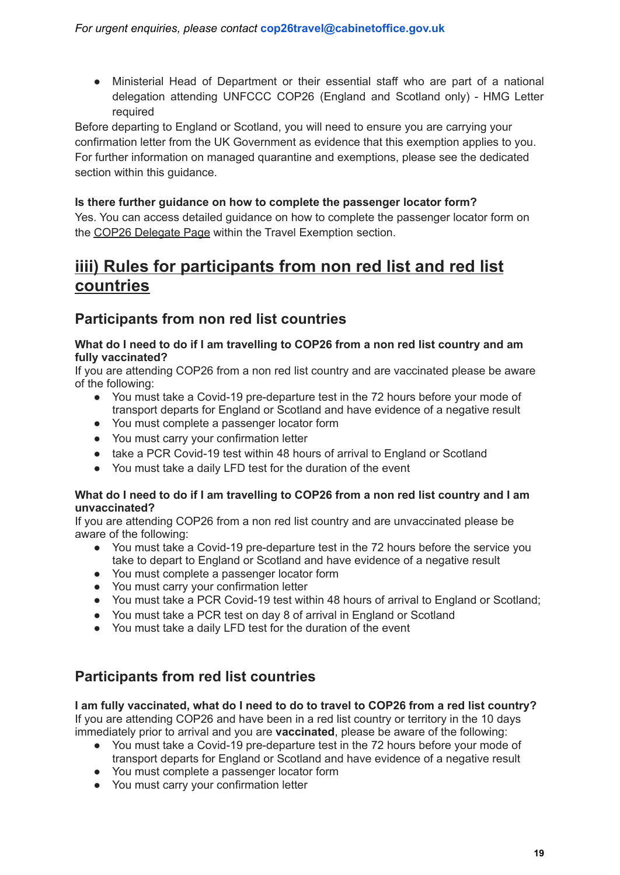● Ministerial Head of Department or their essential staff who are part of a national delegation attending UNFCCC COP26 (England and Scotland only) - HMG Letter required

Before departing to England or Scotland, you will need to ensure you are carrying your confirmation letter from the UK Government as evidence that this exemption applies to you. For further information on managed quarantine and exemptions, please see the dedicated section within this guidance.

#### **Is there further guidance on how to complete the passenger locator form?**

Yes. You can access detailed guidance on how to complete the passenger locator form on the COP26 [Delegate](https://ukcop26.org/the-conference/delegates/) Page within the Travel Exemption section.

# **iiii) Rules for participants from non red list and red list countries**

### **Participants from non red list countries**

#### **What do I need to do if I am travelling to COP26 from a non red list country and am fully vaccinated?**

If you are attending COP26 from a non red list country and are vaccinated please be aware of the following:

- You must take a Covid-19 pre-departure test in the 72 hours before your mode of transport departs for England or Scotland and have evidence of a negative result
- You must complete a passenger locator form
- You must carry your confirmation letter
- take a PCR Covid-19 test within 48 hours of arrival to England or Scotland
- You must take a daily LFD test for the duration of the event

#### What do I need to do if I am travelling to COP26 from a non red list country and I am **unvaccinated?**

If you are attending COP26 from a non red list country and are unvaccinated please be aware of the following:

- You must take a Covid-19 pre-departure test in the 72 hours before the service you take to depart to England or Scotland and have evidence of a negative result
- You must complete a passenger locator form
- You must carry your confirmation letter
- You must take a PCR Covid-19 test within 48 hours of arrival to England or Scotland;
- You must take a PCR test on day 8 of arrival in England or Scotland
- You must take a daily LFD test for the duration of the event

### **Participants from red list countries**

**I am fully vaccinated, what do I need to do to travel to COP26 from a red list country?** If you are attending COP26 and have been in a red list country or territory in the 10 days immediately prior to arrival and you are **vaccinated**, please be aware of the following:

- You must take a Covid-19 pre-departure test in the 72 hours before your mode of transport departs for England or Scotland and have evidence of a negative result
- You must complete a passenger locator form
- You must carry your confirmation letter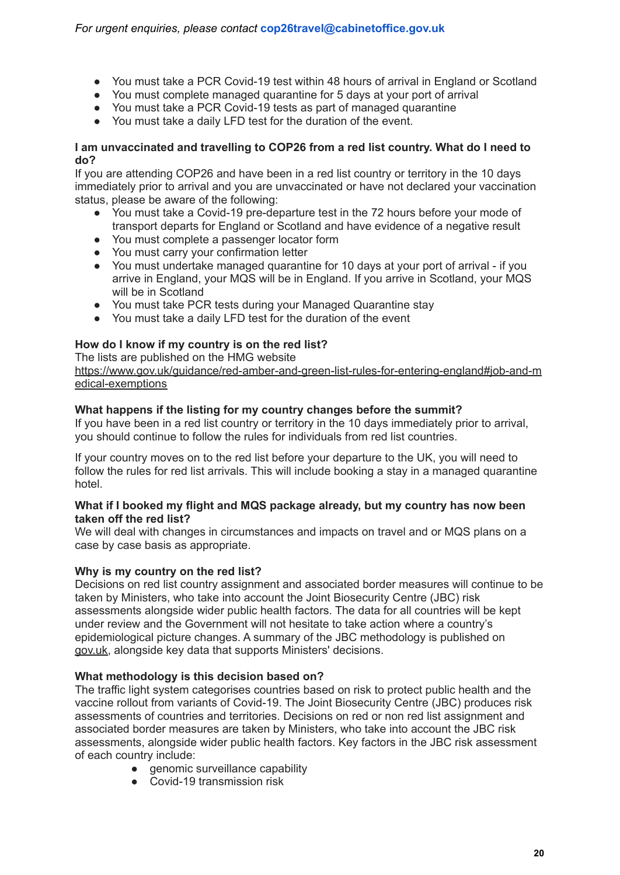- You must take a PCR Covid-19 test within 48 hours of arrival in England or Scotland
- You must complete managed quarantine for 5 days at your port of arrival
- You must take a PCR Covid-19 tests as part of managed quarantine
- You must take a daily LFD test for the duration of the event.

#### **I am unvaccinated and travelling to COP26 from a red list country. What do I need to do?**

If you are attending COP26 and have been in a red list country or territory in the 10 days immediately prior to arrival and you are unvaccinated or have not declared your vaccination status, please be aware of the following:

- You must take a Covid-19 pre-departure test in the 72 hours before your mode of transport departs for England or Scotland and have evidence of a negative result
- You must complete a passenger locator form
- You must carry your confirmation letter
- You must undertake managed quarantine for 10 days at your port of arrival if you arrive in England, your MQS will be in England. If you arrive in Scotland, your MQS will be in Scotland
- You must take PCR tests during your Managed Quarantine stay
- You must take a daily LFD test for the duration of the event

#### **How do I know if my country is on the red list?**

The lists are published on the HMG website

[https://www.gov.uk/guidance/red-amber-and-green-list-rules-for-entering-england#job-and-m](https://www.gov.uk/guidance/red-amber-and-green-list-rules-for-entering-england#job-and-medical-exemptions) [edical-exemptions](https://www.gov.uk/guidance/red-amber-and-green-list-rules-for-entering-england#job-and-medical-exemptions)

#### **What happens if the listing for my country changes before the summit?**

If you have been in a red list country or territory in the 10 days immediately prior to arrival, you should continue to follow the rules for individuals from red list countries.

If your country moves on to the red list before your departure to the UK, you will need to follow the rules for red list arrivals. This will include booking a stay in a managed quarantine hotel.

#### **What if I booked my flight and MQS package already, but my country has now been taken off the red list?**

We will deal with changes in circumstances and impacts on travel and or MQS plans on a case by case basis as appropriate.

#### **Why is my country on the red list?**

Decisions on red list country assignment and associated border measures will continue to be taken by Ministers, who take into account the Joint Biosecurity Centre (JBC) risk assessments alongside wider public health factors. The data for all countries will be kept under review and the Government will not hesitate to take action where a country's epidemiological picture changes. A summary of the JBC methodology is published on [gov.uk,](https://www.gov.uk/government/publications/covid-19-risk-assessment-methodology-to-inform-international-travel-traffic-light-system/risk-assessment-methodology-to-inform-international-travel-traffic-light-system) alongside key data that supports Ministers' decisions.

#### **What methodology is this decision based on?**

The traffic light system categorises countries based on risk to protect public health and the vaccine rollout from variants of Covid-19. The Joint Biosecurity Centre (JBC) produces risk assessments of countries and territories. Decisions on red or non red list assignment and associated border measures are taken by Ministers, who take into account the JBC risk assessments, alongside wider public health factors. Key factors in the JBC risk assessment of each country include:

- genomic surveillance capability
- Covid-19 transmission risk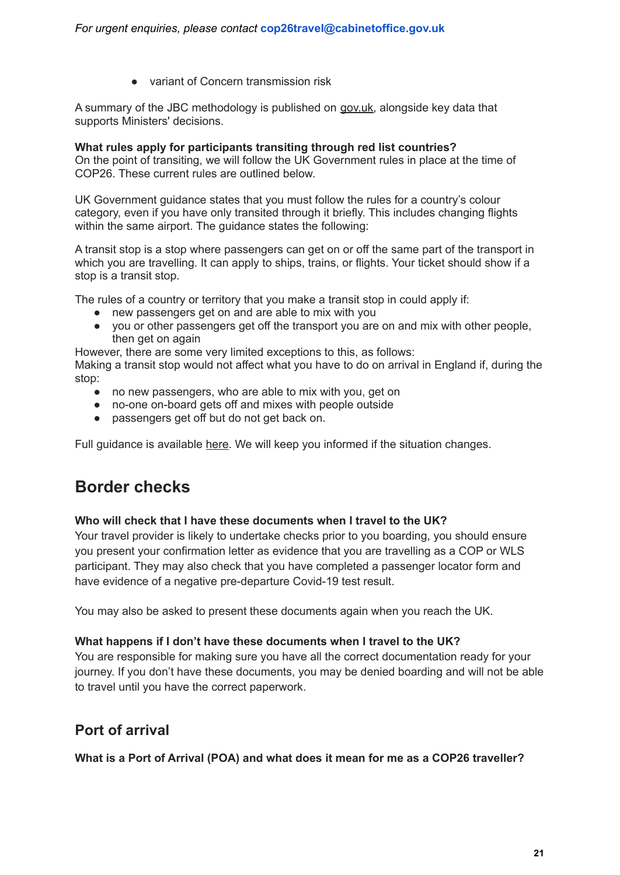● variant of Concern transmission risk

A summary of the JBC methodology is published on [gov.uk,](https://urldefense.com/v3/__http:/gov.uk/__;!!HEBAkwG3r5RD!qNj204fw3LaIa8zCtYqK1l5oT2oi2gWAVCenfwwvdobQ3HKZ1a-lZqcNx-DuBCAmSIqm48U$) alongside key data that supports Ministers' decisions.

#### **What rules apply for participants transiting through red list countries?**

On the point of transiting, we will follow the UK Government rules in place at the time of COP26. These current rules are outlined below.

UK Government guidance states that you must follow the rules for a country's colour category, even if you have only transited through it briefly. This includes changing flights within the same airport. The quidance states the following:

A transit stop is a stop where passengers can get on or off the same part of the transport in which you are travelling. It can apply to ships, trains, or flights. Your ticket should show if a stop is a transit stop.

The rules of a country or territory that you make a transit stop in could apply if:

- new passengers get on and are able to mix with you
- you or other passengers get off the transport you are on and mix with other people. then get on again

However, there are some very limited exceptions to this, as follows:

Making a transit stop would not affect what you have to do on arrival in England if, during the stop:

- no new passengers, who are able to mix with you, get on
- no-one on-board gets off and mixes with people outside
- passengers get off but do not get back on.

Full guidance is available [here.](https://www.gov.uk/guidance/red-amber-and-green-list-rules-for-entering-england) We will keep you informed if the situation changes.

# **Border checks**

#### **Who will check that I have these documents when I travel to the UK?**

Your travel provider is likely to undertake checks prior to you boarding, you should ensure you present your confirmation letter as evidence that you are travelling as a COP or WLS participant. They may also check that you have completed a passenger locator form and have evidence of a negative pre-departure Covid-19 test result.

You may also be asked to present these documents again when you reach the UK.

#### **What happens if I don't have these documents when I travel to the UK?**

You are responsible for making sure you have all the correct documentation ready for your journey. If you don't have these documents, you may be denied boarding and will not be able to travel until you have the correct paperwork.

### **Port of arrival**

**What is a Port of Arrival (POA) and what does it mean for me as a COP26 traveller?**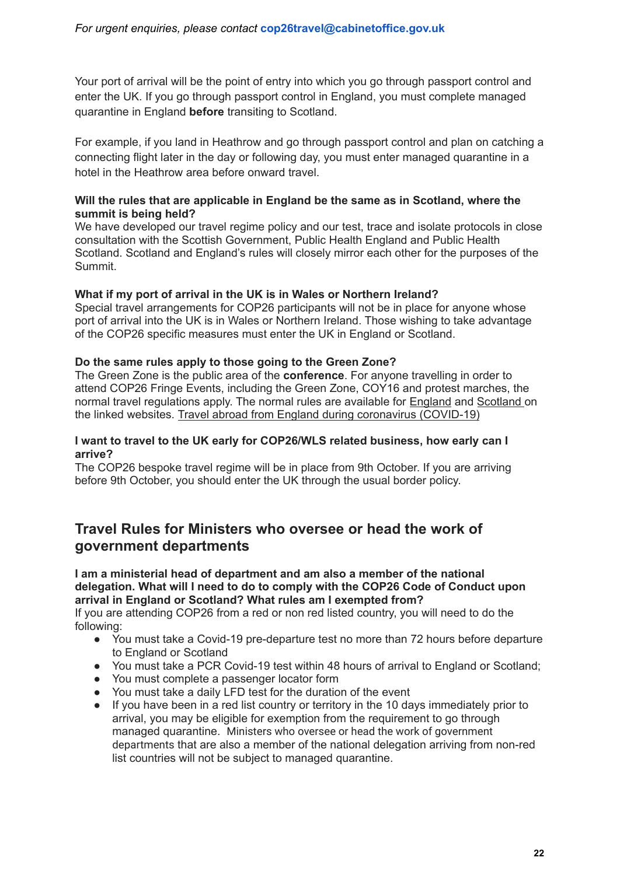Your port of arrival will be the point of entry into which you go through passport control and enter the UK. If you go through passport control in England, you must complete managed quarantine in England **before** transiting to Scotland.

For example, if you land in Heathrow and go through passport control and plan on catching a connecting flight later in the day or following day, you must enter managed quarantine in a hotel in the Heathrow area before onward travel.

#### **Will the rules that are applicable in England be the same as in Scotland, where the summit is being held?**

We have developed our travel regime policy and our test, trace and isolate protocols in close consultation with the Scottish Government, Public Health England and Public Health Scotland. Scotland and England's rules will closely mirror each other for the purposes of the Summit.

#### **What if my port of arrival in the UK is in Wales or Northern Ireland?**

Special travel arrangements for COP26 participants will not be in place for anyone whose port of arrival into the UK is in Wales or Northern Ireland. Those wishing to take advantage of the COP26 specific measures must enter the UK in England or Scotland.

#### **Do the same rules apply to those going to the Green Zone?**

The Green Zone is the public area of the **conference**. For anyone travelling in order to attend COP26 Fringe Events, including the Green Zone, COY16 and protest marches, the normal travel regulations apply. The normal rules are available for **[England](https://www.gov.uk/guidance/travel-abroad-from-england-during-coronavirus-covid-19) and [Scotland](https://www.gov.scot/publications/coronavirus-covid-19-international-travel-quarantine/) on** the linked websites. Travel abroad from England during coronavirus [\(COVID-19\)](https://www.gov.uk/guidance/travel-abroad-from-england-during-coronavirus-covid-19)

#### **I want to travel to the UK early for COP26/WLS related business, how early can I arrive?**

The COP26 bespoke travel regime will be in place from 9th October. If you are arriving before 9th October, you should enter the UK through the usual border policy.

#### **Travel Rules for Ministers who oversee or head the work of government departments**

**I am a ministerial head of department and am also a member of the national delegation. What will I need to do to comply with the COP26 Code of Conduct upon arrival in England or Scotland? What rules am I exempted from?**

If you are attending COP26 from a red or non red listed country, you will need to do the following:

- You must take a Covid-19 pre-departure test no more than 72 hours before departure to England or Scotland
- You must take a PCR Covid-19 test within 48 hours of arrival to England or Scotland;
- You must complete a passenger locator form
- You must take a daily LFD test for the duration of the event
- If you have been in a red list country or territory in the 10 days immediately prior to arrival, you may be eligible for exemption from the requirement to go through managed quarantine. Ministers who oversee or head the work of government departments that are also a member of the national delegation arriving from non-red list countries will not be subject to managed quarantine.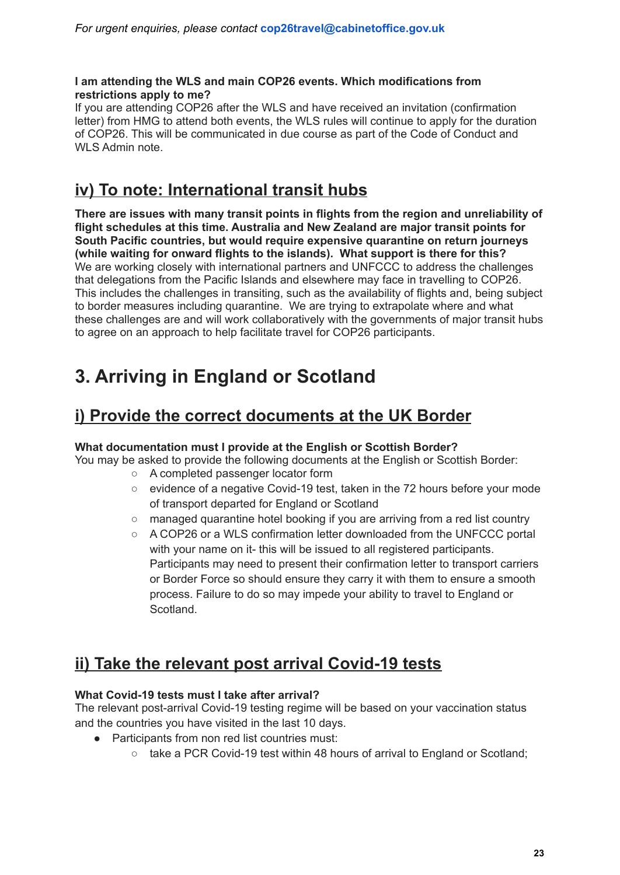#### **I am attending the WLS and main COP26 events. Which modifications from restrictions apply to me?**

If you are attending COP26 after the WLS and have received an invitation (confirmation letter) from HMG to attend both events, the WLS rules will continue to apply for the duration of COP26. This will be communicated in due course as part of the Code of Conduct and WLS Admin note.

# <span id="page-23-0"></span>**iv) To note: International transit hubs**

**There are issues with many transit points in flights from the region and unreliability of flight schedules at this time. Australia and New Zealand are major transit points for South Pacific countries, but would require expensive quarantine on return journeys (while waiting for onward flights to the islands). What support is there for this?** We are working closely with international partners and UNFCCC to address the challenges that delegations from the Pacific Islands and elsewhere may face in travelling to COP26. This includes the challenges in transiting, such as the availability of flights and, being subject to border measures including quarantine. We are trying to extrapolate where and what these challenges are and will work collaboratively with the governments of major transit hubs to agree on an approach to help facilitate travel for COP26 participants.

# <span id="page-23-1"></span>**3. Arriving in England or Scotland**

# <span id="page-23-2"></span>**i) Provide the correct documents at the UK Border**

#### **What documentation must I provide at the English or Scottish Border?**

You may be asked to provide the following documents at the English or Scottish Border:

- A completed passenger locator form
- evidence of a negative Covid-19 test, taken in the 72 hours before your mode of transport departed for England or Scotland
- managed quarantine hotel booking if you are arriving from a red list country
- A COP26 or a WLS confirmation letter downloaded from the UNFCCC portal with your name on it- this will be issued to all registered participants. Participants may need to present their confirmation letter to transport carriers or Border Force so should ensure they carry it with them to ensure a smooth process. Failure to do so may impede your ability to travel to England or Scotland.

# <span id="page-23-3"></span>**ii) Take the relevant post arrival Covid-19 tests**

#### **What Covid-19 tests must I take after arrival?**

The relevant post-arrival Covid-19 testing regime will be based on your vaccination status and the countries you have visited in the last 10 days.

- Participants from non red list countries must:
	- take a PCR Covid-19 test within 48 hours of arrival to England or Scotland;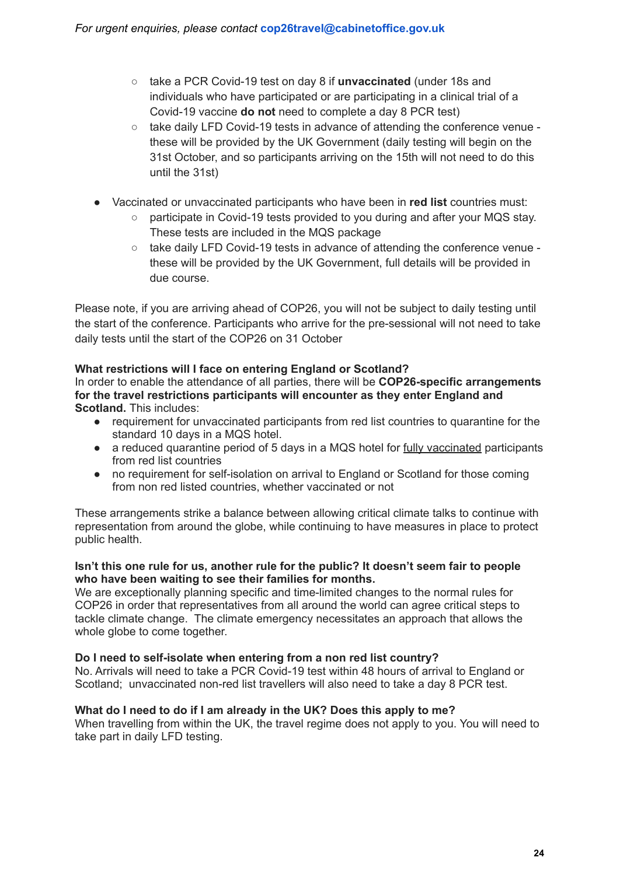- take a PCR Covid-19 test on day 8 if **unvaccinated** (under 18s and individuals who have participated or are participating in a clinical trial of a Covid-19 vaccine **do not** need to complete a day 8 PCR test)
- $\circ$  take daily LFD Covid-19 tests in advance of attending the conference venue these will be provided by the UK Government (daily testing will begin on the 31st October, and so participants arriving on the 15th will not need to do this until the 31st)
- Vaccinated or unvaccinated participants who have been in **red list** countries must:
	- participate in Covid-19 tests provided to you during and after your MQS stay. These tests are included in the MQS package
	- take daily LFD Covid-19 tests in advance of attending the conference venue these will be provided by the UK Government, full details will be provided in due course.

Please note, if you are arriving ahead of COP26, you will not be subject to daily testing until the start of the conference. Participants who arrive for the pre-sessional will not need to take daily tests until the start of the COP26 on 31 October

#### **What restrictions will I face on entering England or Scotland?**

In order to enable the attendance of all parties, there will be **COP26-specific arrangements for the travel restrictions participants will encounter as they enter England and Scotland.** This includes:

- requirement for unvaccinated participants from red list countries to quarantine for the standard 10 days in a MQS hotel.
- a reduced quarantine period of 5 days in a MQS hotel for fully vaccinated participants from red list countries
- no requirement for self-isolation on arrival to England or Scotland for those coming from non red listed countries, whether vaccinated or not

These arrangements strike a balance between allowing critical climate talks to continue with representation from around the globe, while continuing to have measures in place to protect public health.

#### **Isn't this one rule for us, another rule for the public? It doesn't seem fair to people who have been waiting to see their families for months.**

We are exceptionally planning specific and time-limited changes to the normal rules for COP26 in order that representatives from all around the world can agree critical steps to tackle climate change. The climate emergency necessitates an approach that allows the whole globe to come together.

#### **Do I need to self-isolate when entering from a non red list country?**

No. Arrivals will need to take a PCR Covid-19 test within 48 hours of arrival to England or Scotland; unvaccinated non-red list travellers will also need to take a day 8 PCR test.

#### **What do I need to do if I am already in the UK? Does this apply to me?**

When travelling from within the UK, the travel regime does not apply to you. You will need to take part in daily LFD testing.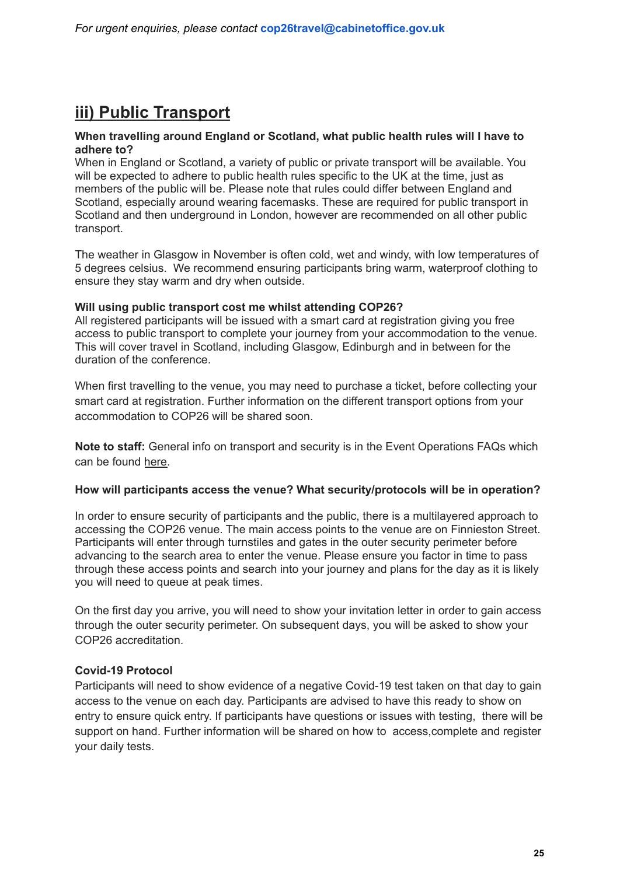# <span id="page-25-0"></span>**iii) Public Transport**

#### **When travelling around England or Scotland, what public health rules will I have to adhere to?**

When in England or Scotland, a variety of public or private transport will be available. You will be expected to adhere to public health rules specific to the UK at the time, just as members of the public will be. Please note that rules could differ between England and Scotland, especially around wearing facemasks. These are required for public transport in Scotland and then underground in London, however are recommended on all other public transport.

The weather in Glasgow in November is often cold, wet and windy, with low temperatures of 5 degrees celsius. We recommend ensuring participants bring warm, waterproof clothing to ensure they stay warm and dry when outside.

#### **Will using public transport cost me whilst attending COP26?**

All registered participants will be issued with a smart card at registration giving you free access to public transport to complete your journey from your accommodation to the venue. This will cover travel in Scotland, including Glasgow, Edinburgh and in between for the duration of the conference.

When first travelling to the venue, you may need to purchase a ticket, before collecting your smart card at registration. Further information on the different transport options from your accommodation to COP26 will be shared soon.

**Note to staff:** General info on transport and security is in the Event Operations FAQs which can be found [here.](https://docs.google.com/document/d/1L0su4GvTSVmffJcVchP1SIms6j0Wq5m91f-NBPgVDF4/edit)

#### **How will participants access the venue? What security/protocols will be in operation?**

In order to ensure security of participants and the public, there is a multilayered approach to accessing the COP26 venue. The main access points to the venue are on Finnieston Street. Participants will enter through turnstiles and gates in the outer security perimeter before advancing to the search area to enter the venue. Please ensure you factor in time to pass through these access points and search into your journey and plans for the day as it is likely you will need to queue at peak times.

On the first day you arrive, you will need to show your invitation letter in order to gain access through the outer security perimeter. On subsequent days, you will be asked to show your COP26 accreditation.

#### **Covid-19 Protocol**

Participants will need to show evidence of a negative Covid-19 test taken on that day to gain access to the venue on each day. Participants are advised to have this ready to show on entry to ensure quick entry. If participants have questions or issues with testing, there will be support on hand. Further information will be shared on how to access,complete and register your daily tests.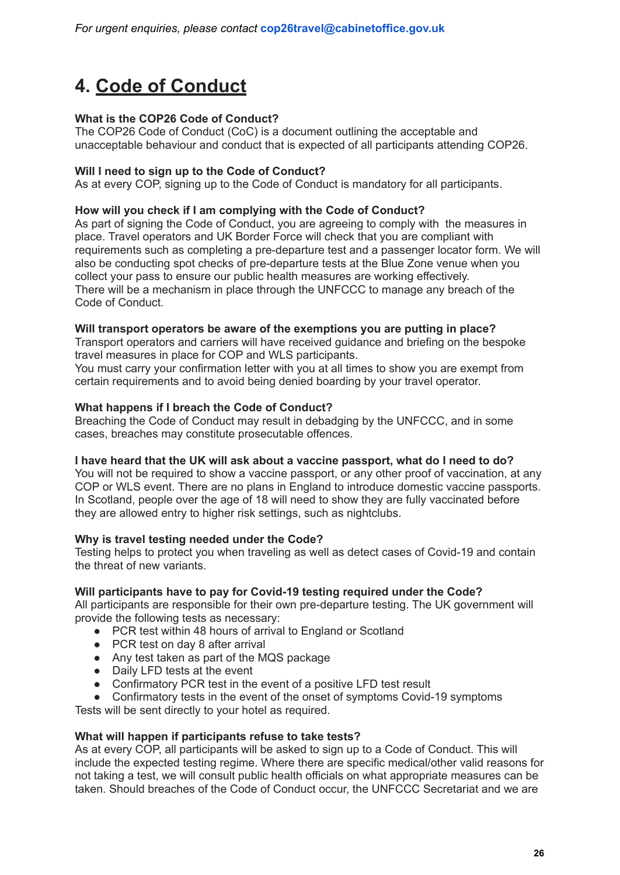# <span id="page-26-0"></span>**4. [Code of Conduct](https://ukcop26.org/wp-content/uploads/2021/10/COP26-Covid-19-Code-of-Conduct.pdf)**

#### **What is the COP26 Code of Conduct?**

The COP26 Code of Conduct (CoC) is a document outlining the acceptable and unacceptable behaviour and conduct that is expected of all participants attending COP26.

#### **Will I need to sign up to the Code of Conduct?**

As at every COP, signing up to the Code of Conduct is mandatory for all participants.

#### **How will you check if I am complying with the Code of Conduct?**

As part of signing the Code of Conduct, you are agreeing to comply with the measures in place. Travel operators and UK Border Force will check that you are compliant with requirements such as completing a pre-departure test and a passenger locator form. We will also be conducting spot checks of pre-departure tests at the Blue Zone venue when you collect your pass to ensure our public health measures are working effectively. There will be a mechanism in place through the UNFCCC to manage any breach of the Code of Conduct.

#### **Will transport operators be aware of the exemptions you are putting in place?**

Transport operators and carriers will have received guidance and briefing on the bespoke travel measures in place for COP and WLS participants.

You must carry your confirmation letter with you at all times to show you are exempt from certain requirements and to avoid being denied boarding by your travel operator.

#### **What happens if I breach the Code of Conduct?**

Breaching the Code of Conduct may result in debadging by the UNFCCC, and in some cases, breaches may constitute prosecutable offences.

#### **I have heard that the UK will ask about a vaccine passport, what do I need to do?**

You will not be required to show a vaccine passport, or any other proof of vaccination, at any COP or WLS event. There are no plans in England to introduce domestic vaccine passports. In Scotland, people over the age of 18 will need to show they are fully vaccinated before they are allowed entry to higher risk settings, such as nightclubs.

#### **Why is travel testing needed under the Code?**

Testing helps to protect you when traveling as well as detect cases of Covid-19 and contain the threat of new variants.

#### **Will participants have to pay for Covid-19 testing required under the Code?**

All participants are responsible for their own pre-departure testing. The UK government will provide the following tests as necessary:

- PCR test within 48 hours of arrival to England or Scotland
- PCR test on day 8 after arrival
- Any test taken as part of the MQS package
- Daily LFD tests at the event
- Confirmatory PCR test in the event of a positive LFD test result
- Confirmatory tests in the event of the onset of symptoms Covid-19 symptoms

Tests will be sent directly to your hotel as required.

#### **What will happen if participants refuse to take tests?**

As at every COP, all participants will be asked to sign up to a Code of Conduct. This will include the expected testing regime. Where there are specific medical/other valid reasons for not taking a test, we will consult public health officials on what appropriate measures can be taken. Should breaches of the Code of Conduct occur, the UNFCCC Secretariat and we are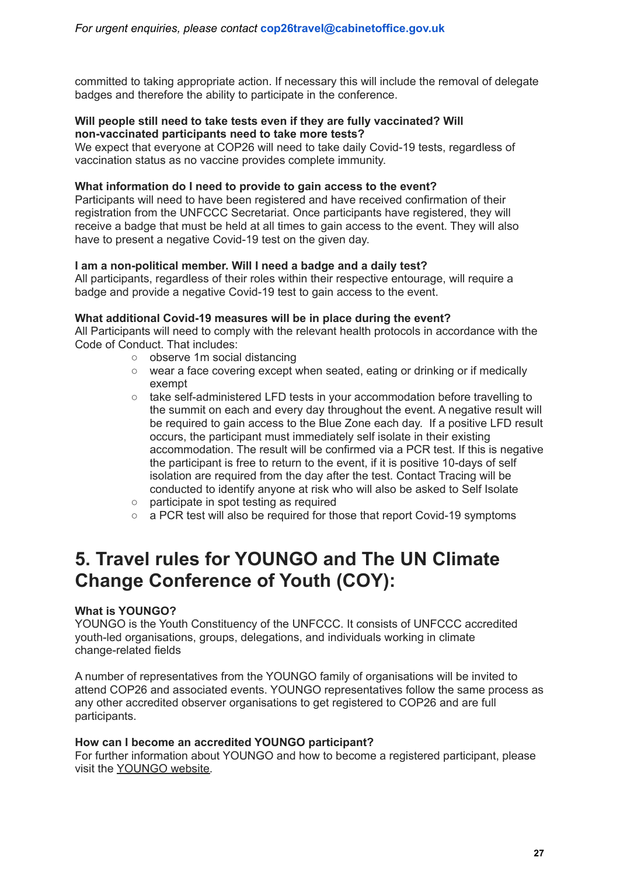committed to taking appropriate action. If necessary this will include the removal of delegate badges and therefore the ability to participate in the conference.

#### **Will people still need to take tests even if they are fully vaccinated? Will non-vaccinated participants need to take more tests?**

We expect that everyone at COP26 will need to take daily Covid-19 tests, regardless of vaccination status as no vaccine provides complete immunity.

#### **What information do I need to provide to gain access to the event?**

Participants will need to have been registered and have received confirmation of their registration from the UNFCCC Secretariat. Once participants have registered, they will receive a badge that must be held at all times to gain access to the event. They will also have to present a negative Covid-19 test on the given day.

#### **I am a non-political member. Will I need a badge and a daily test?**

All participants, regardless of their roles within their respective entourage, will require a badge and provide a negative Covid-19 test to gain access to the event.

#### **What additional Covid-19 measures will be in place during the event?**

All Participants will need to comply with the relevant health protocols in accordance with the Code of Conduct. That includes:

- observe 1m social distancing
- wear a face covering except when seated, eating or drinking or if medically exempt
- take self-administered LFD tests in your accommodation before travelling to the summit on each and every day throughout the event. A negative result will be required to gain access to the Blue Zone each day. If a positive LFD result occurs, the participant must immediately self isolate in their existing accommodation. The result will be confirmed via a PCR test. If this is negative the participant is free to return to the event, if it is positive 10-days of self isolation are required from the day after the test. Contact Tracing will be conducted to identify anyone at risk who will also be asked to Self Isolate
- participate in spot testing as required
- a PCR test will also be required for those that report Covid-19 symptoms

# <span id="page-27-0"></span>**5. Travel rules for YOUNGO and The UN Climate Change Conference of Youth (COY):**

#### **What is YOUNGO?**

YOUNGO is the Youth Constituency of the UNFCCC. It consists of UNFCCC accredited youth-led organisations, groups, delegations, and individuals working in climate change-related fields

A number of representatives from the YOUNGO family of organisations will be invited to attend COP26 and associated events. YOUNGO representatives follow the same process as any other accredited observer organisations to get registered to COP26 and are full participants.

#### **How can I become an accredited YOUNGO participant?**

For further information about YOUNGO and how to become a registered participant, please visit the [YOUNGO](http://www.youngo.uno/) website.